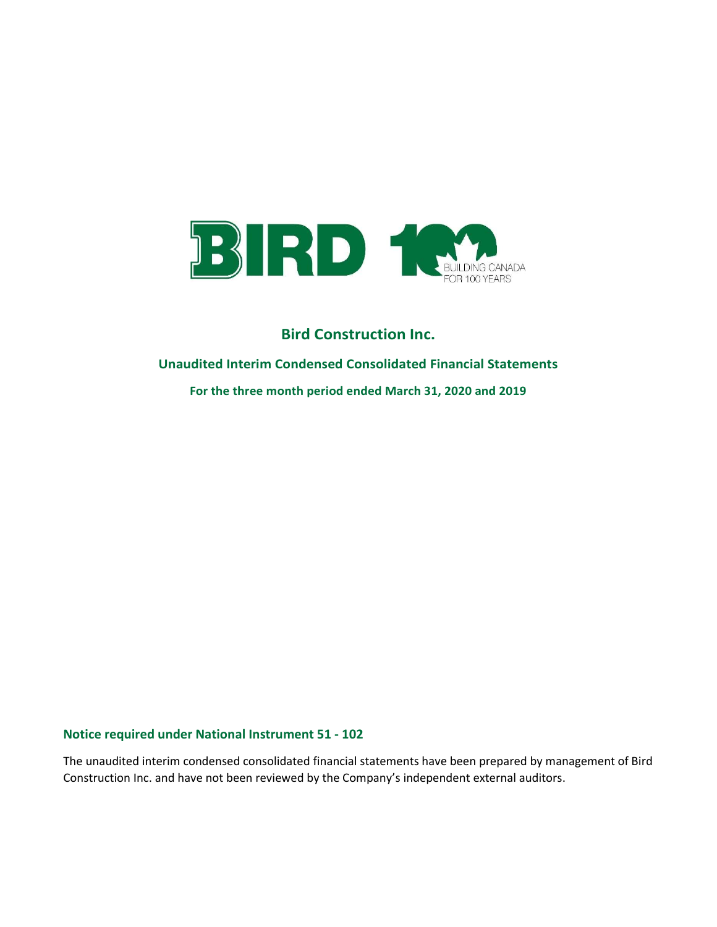

# Unaudited Interim Condensed Consolidated Financial Statements

For the three month period ended March 31, 2020 and 2019

# Notice required under National Instrument 51 - 102

The unaudited interim condensed consolidated financial statements have been prepared by management of Bird Construction Inc. and have not been reviewed by the Company's independent external auditors.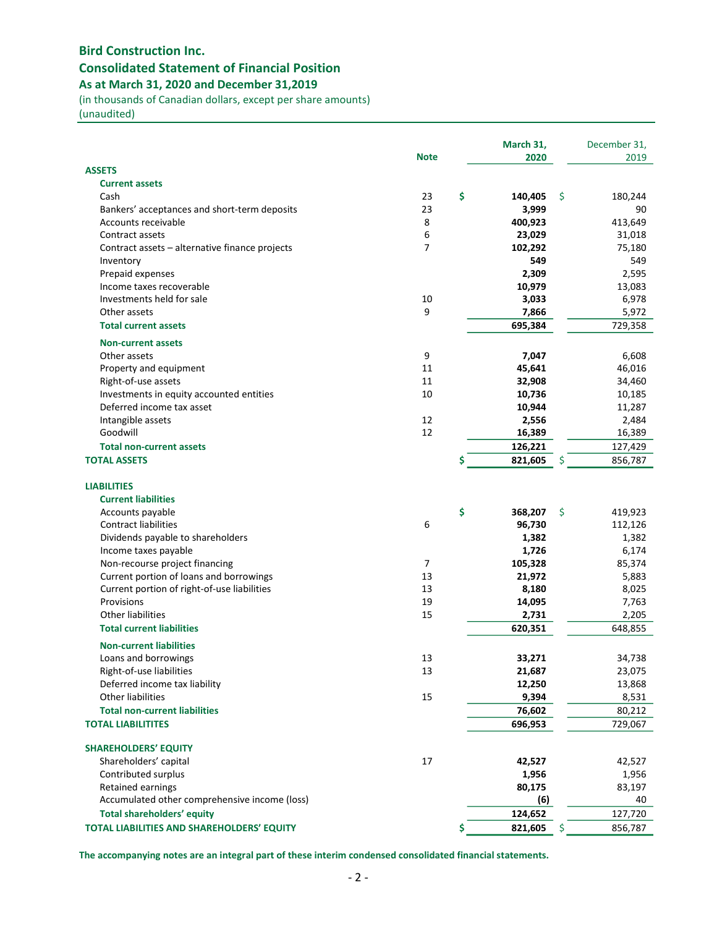# Bird Construction Inc. Consolidated Statement of Financial Position As at March 31, 2020 and December 31,2019

(in thousands of Canadian dollars, except per share amounts)

(unaudited)

|                                                  |                | March 31,     |          | December 31, |
|--------------------------------------------------|----------------|---------------|----------|--------------|
|                                                  | <b>Note</b>    | 2020          |          | 2019         |
| <b>ASSETS</b>                                    |                |               |          |              |
| <b>Current assets</b><br>Cash                    | 23             | \$<br>140,405 | <b>S</b> | 180,244      |
| Bankers' acceptances and short-term deposits     | 23             | 3,999         |          | 90           |
| Accounts receivable                              | 8              | 400,923       |          | 413,649      |
| Contract assets                                  | 6              | 23,029        |          | 31,018       |
| Contract assets - alternative finance projects   | $\overline{7}$ | 102,292       |          | 75,180       |
| Inventory                                        |                | 549           |          | 549          |
| Prepaid expenses                                 |                | 2,309         |          | 2,595        |
| Income taxes recoverable                         |                | 10,979        |          | 13,083       |
| Investments held for sale                        | 10             | 3,033         |          | 6,978        |
| Other assets                                     | 9              | 7,866         |          | 5,972        |
| <b>Total current assets</b>                      |                | 695,384       |          | 729,358      |
|                                                  |                |               |          |              |
| <b>Non-current assets</b>                        |                |               |          |              |
| Other assets                                     | 9              | 7,047         |          | 6,608        |
| Property and equipment                           | 11             | 45,641        |          | 46,016       |
| Right-of-use assets                              | 11             | 32,908        |          | 34,460       |
| Investments in equity accounted entities         | 10             | 10,736        |          | 10,185       |
| Deferred income tax asset                        |                | 10,944        |          | 11,287       |
| Intangible assets                                | 12             | 2,556         |          | 2,484        |
| Goodwill                                         | 12             | 16,389        |          | 16,389       |
| <b>Total non-current assets</b>                  |                | 126,221       |          | 127,429      |
| <b>TOTAL ASSETS</b>                              |                | \$<br>821,605 | S        | 856,787      |
|                                                  |                |               |          |              |
| <b>LIABILITIES</b><br><b>Current liabilities</b> |                |               |          |              |
| Accounts payable                                 |                | \$<br>368,207 | \$       | 419,923      |
| <b>Contract liabilities</b>                      | 6              | 96,730        |          | 112,126      |
| Dividends payable to shareholders                |                | 1,382         |          | 1,382        |
| Income taxes payable                             |                | 1,726         |          | 6,174        |
| Non-recourse project financing                   | $\overline{7}$ | 105,328       |          | 85,374       |
| Current portion of loans and borrowings          | 13             | 21,972        |          | 5,883        |
| Current portion of right-of-use liabilities      | 13             | 8,180         |          | 8,025        |
| Provisions                                       | 19             | 14,095        |          | 7,763        |
| <b>Other liabilities</b>                         | 15             | 2,731         |          | 2,205        |
| <b>Total current liabilities</b>                 |                | 620,351       |          | 648,855      |
|                                                  |                |               |          |              |
| <b>Non-current liabilities</b>                   |                |               |          |              |
| Loans and borrowings                             | 13             | 33,271        |          | 34,738       |
| Right-of-use liabilities                         | 13             | 21,687        |          | 23,075       |
| Deferred income tax liability                    |                | 12,250        |          | 13,868       |
| Other liabilities                                | 15             | 9,394         |          | 8,531        |
| <b>Total non-current liabilities</b>             |                | 76,602        |          | 80,212       |
| <b>TOTAL LIABILITITES</b>                        |                | 696,953       |          | 729,067      |
| <b>SHAREHOLDERS' EQUITY</b>                      |                |               |          |              |
| Shareholders' capital                            | 17             | 42,527        |          | 42,527       |
| Contributed surplus                              |                | 1,956         |          | 1,956        |
| Retained earnings                                |                | 80,175        |          | 83,197       |
| Accumulated other comprehensive income (loss)    |                | (6)           |          | 40           |
| <b>Total shareholders' equity</b>                |                | 124,652       |          | 127,720      |
| TOTAL LIABILITIES AND SHAREHOLDERS' EQUITY       |                | \$<br>821,605 | \$       | 856,787      |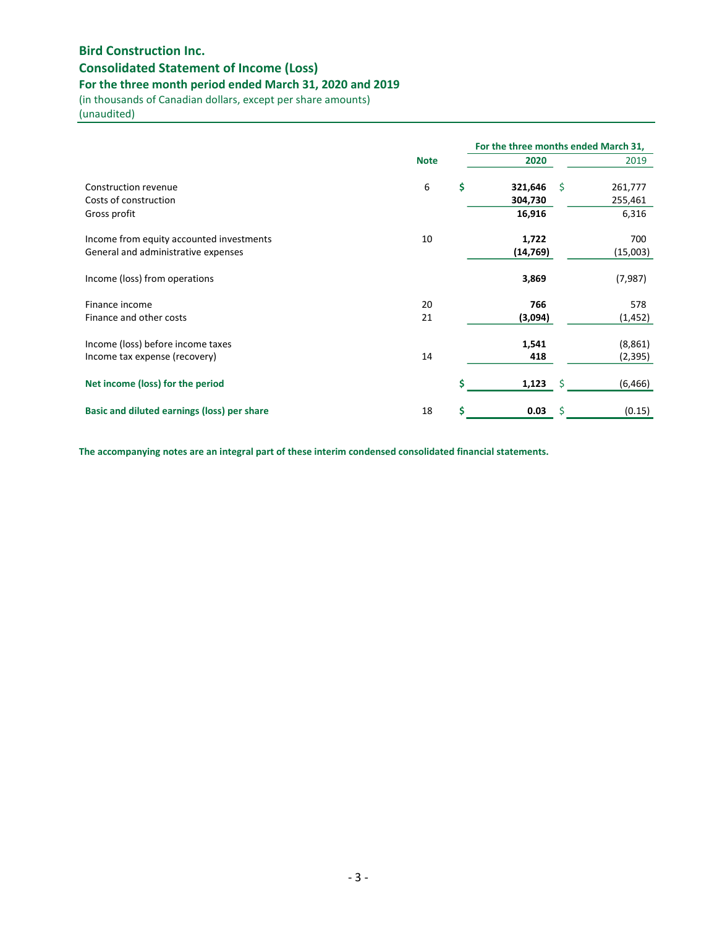# Consolidated Statement of Income (Loss)

# For the three month period ended March 31, 2020 and 2019

(in thousands of Canadian dollars, except per share amounts)

(unaudited)

|                                                                                 |             |    | For the three months ended March 31, |    |                     |  |  |
|---------------------------------------------------------------------------------|-------------|----|--------------------------------------|----|---------------------|--|--|
|                                                                                 | <b>Note</b> |    | 2020                                 |    | 2019                |  |  |
| Construction revenue<br>Costs of construction                                   | 6           | \$ | 321,646<br>304,730                   | -Ŝ | 261,777<br>255,461  |  |  |
| Gross profit                                                                    |             |    | 16,916                               |    | 6,316               |  |  |
| Income from equity accounted investments<br>General and administrative expenses | 10          |    | 1,722<br>(14, 769)                   |    | 700<br>(15,003)     |  |  |
| Income (loss) from operations                                                   |             |    | 3,869                                |    | (7,987)             |  |  |
| Finance income<br>Finance and other costs                                       | 20<br>21    |    | 766<br>(3,094)                       |    | 578<br>(1, 452)     |  |  |
| Income (loss) before income taxes<br>Income tax expense (recovery)              | 14          |    | 1,541<br>418                         |    | (8,861)<br>(2, 395) |  |  |
| Net income (loss) for the period                                                |             | Ś  | 1,123                                | -S | (6, 466)            |  |  |
| <b>Basic and diluted earnings (loss) per share</b>                              | 18          | \$ | 0.03                                 | Ś  | (0.15)              |  |  |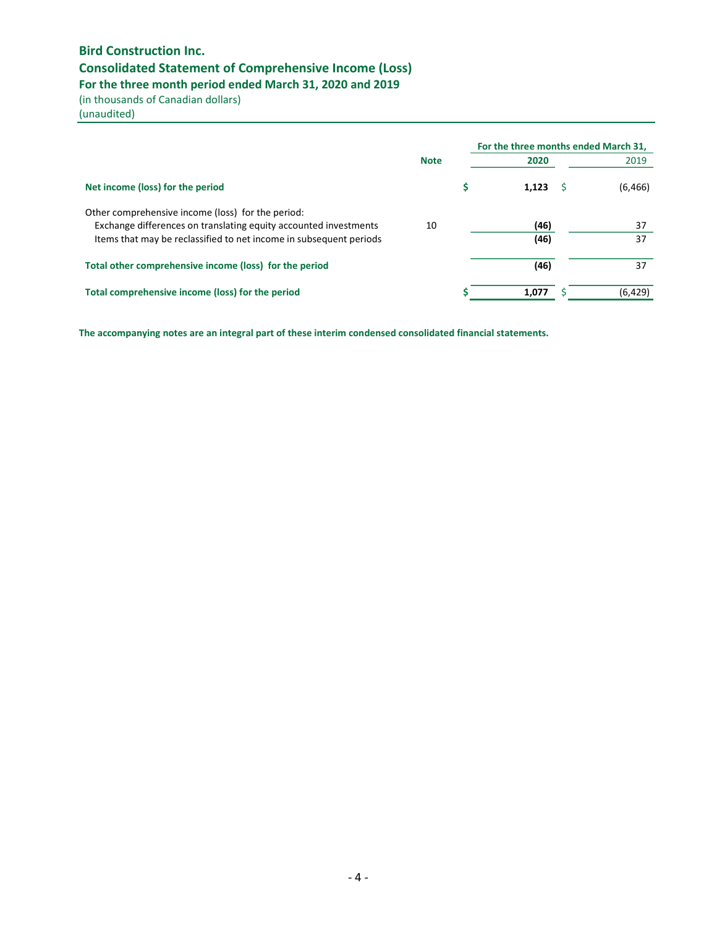# Consolidated Statement of Comprehensive Income (Loss)

For the three month period ended March 31, 2020 and 2019

(in thousands of Canadian dollars)

(unaudited)

|                                                                    |             | For the three months ended March 31, |          |
|--------------------------------------------------------------------|-------------|--------------------------------------|----------|
|                                                                    | <b>Note</b> | 2020                                 | 2019     |
| Net income (loss) for the period                                   |             | 1.123                                | (6, 466) |
| Other comprehensive income (loss) for the period:                  |             |                                      |          |
| Exchange differences on translating equity accounted investments   | 10          | (46)                                 | 37       |
| Items that may be reclassified to net income in subsequent periods |             | (46)                                 | 37       |
| Total other comprehensive income (loss) for the period             |             | (46)                                 | 37       |
| Total comprehensive income (loss) for the period                   |             | 1.077                                | (6, 429) |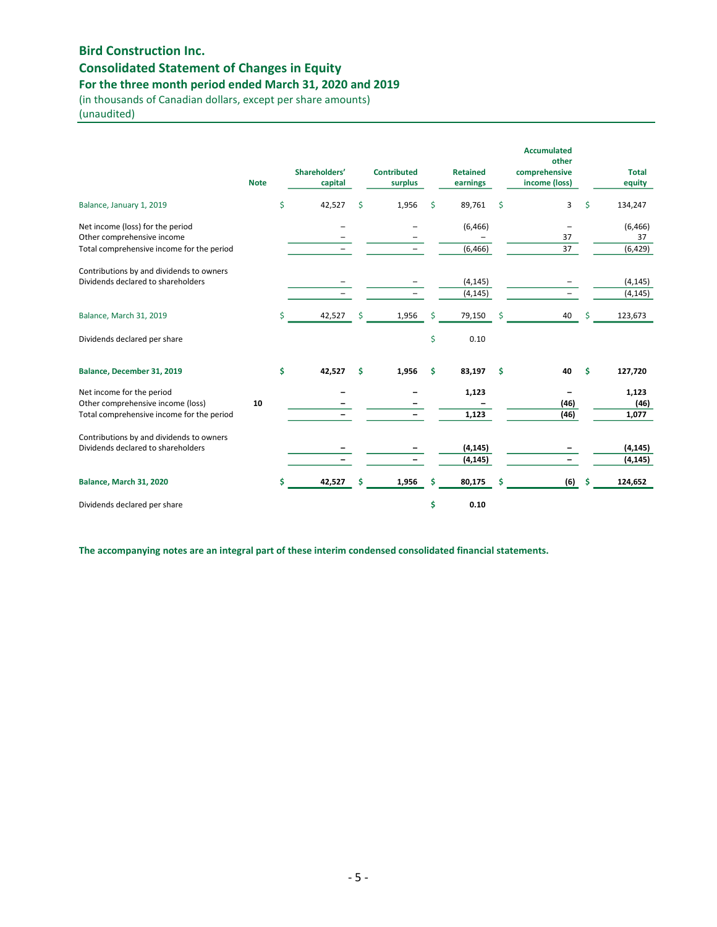# Consolidated Statement of Changes in Equity

For the three month period ended March 31, 2020 and 2019

(in thousands of Canadian dollars, except per share amounts) (unaudited)

|                                                                                                             | <b>Note</b> |    | Shareholders'<br>capital |   | <b>Contributed</b><br>surplus |    | <b>Retained</b><br>earnings |    | <b>Accumulated</b><br>other<br>comprehensive<br>income (loss) |     | <b>Total</b><br>equity     |
|-------------------------------------------------------------------------------------------------------------|-------------|----|--------------------------|---|-------------------------------|----|-----------------------------|----|---------------------------------------------------------------|-----|----------------------------|
| Balance, January 1, 2019                                                                                    |             | \$ | 42,527                   | Ŝ | 1,956                         | \$ | 89,761                      | \$ | 3                                                             | Ś   | 134,247                    |
| Net income (loss) for the period<br>Other comprehensive income<br>Total comprehensive income for the period |             |    |                          |   |                               |    | (6, 466)<br>(6, 466)        |    | 37<br>37                                                      |     | (6, 466)<br>37<br>(6, 429) |
| Contributions by and dividends to owners<br>Dividends declared to shareholders                              |             |    |                          |   |                               |    | (4, 145)<br>(4, 145)        |    |                                                               |     | (4, 145)<br>(4, 145)       |
| Balance, March 31, 2019                                                                                     |             | Ś  | 42,527                   | Ś | 1,956                         | Ś  | 79,150                      | Ś  | 40                                                            | Ś   | 123,673                    |
| Dividends declared per share                                                                                |             |    |                          |   |                               | \$ | 0.10                        |    |                                                               |     |                            |
| Balance, December 31, 2019                                                                                  |             | \$ | 42,527                   | Ś | 1,956                         | \$ | 83,197                      | Ŝ. | 40                                                            | Ś   | 127,720                    |
| Net income for the period<br>Other comprehensive income (loss)<br>Total comprehensive income for the period | 10          |    |                          |   |                               |    | 1,123<br>1,123              |    | (46)<br>(46)                                                  |     | 1,123<br>(46)<br>1,077     |
| Contributions by and dividends to owners<br>Dividends declared to shareholders                              |             |    |                          |   |                               |    | (4, 145)<br>(4, 145)        |    |                                                               |     | (4, 145)<br>(4, 145)       |
| Balance, March 31, 2020                                                                                     |             | \$ | 42,527                   | s | 1,956                         | \$ | 80,175                      | s  | (6)                                                           | -\$ | 124,652                    |
| Dividends declared per share                                                                                |             |    |                          |   |                               | \$ | 0.10                        |    |                                                               |     |                            |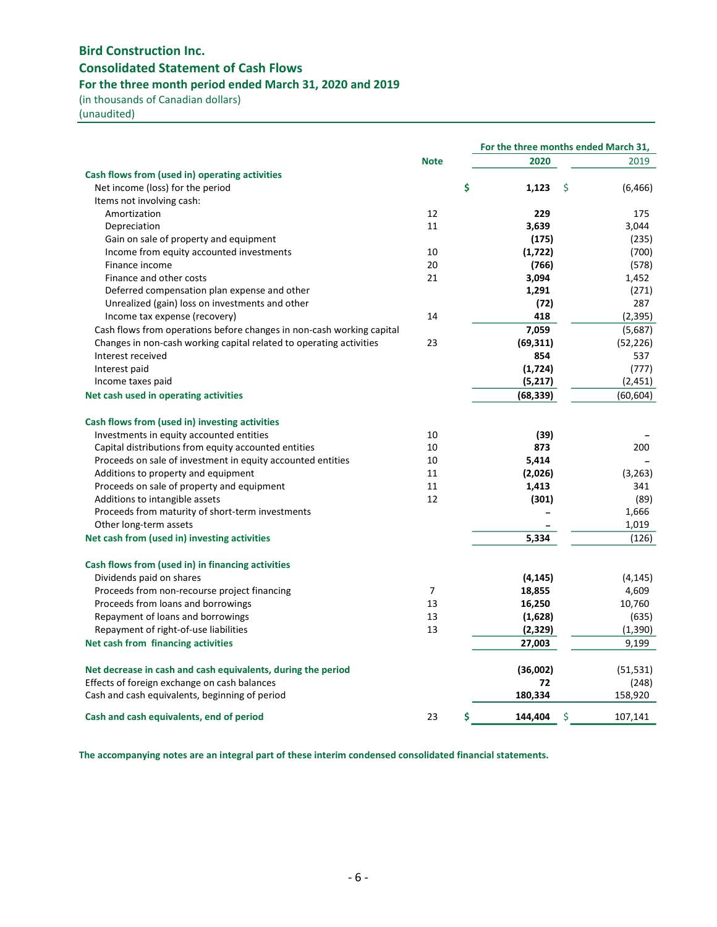# Bird Construction Inc. Consolidated Statement of Cash Flows For the three month period ended March 31, 2020 and 2019

(in thousands of Canadian dollars)

(unaudited)

|                                                                       |                | For the three months ended March 31, |                |
|-----------------------------------------------------------------------|----------------|--------------------------------------|----------------|
|                                                                       | <b>Note</b>    | 2020                                 | 2019           |
| Cash flows from (used in) operating activities                        |                |                                      |                |
| Net income (loss) for the period                                      |                | \$<br>1,123                          | \$<br>(6, 466) |
| Items not involving cash:                                             |                |                                      |                |
| Amortization                                                          | 12             | 229                                  | 175            |
| Depreciation                                                          | 11             | 3,639                                | 3,044          |
| Gain on sale of property and equipment                                |                | (175)                                | (235)          |
| Income from equity accounted investments                              | 10             | (1,722)                              | (700)          |
| Finance income                                                        | 20             | (766)                                | (578)          |
| Finance and other costs                                               | 21             | 3,094                                | 1,452          |
| Deferred compensation plan expense and other                          |                | 1,291                                | (271)          |
| Unrealized (gain) loss on investments and other                       |                | (72)                                 | 287            |
| Income tax expense (recovery)                                         | 14             | 418                                  | (2, 395)       |
| Cash flows from operations before changes in non-cash working capital |                | 7,059                                | (5,687)        |
| Changes in non-cash working capital related to operating activities   | 23             | (69, 311)                            | (52, 226)      |
| Interest received                                                     |                | 854                                  | 537            |
| Interest paid                                                         |                | (1, 724)                             | (777)          |
| Income taxes paid                                                     |                | (5,217)                              | (2, 451)       |
| Net cash used in operating activities                                 |                | (68, 339)                            | (60, 604)      |
| Cash flows from (used in) investing activities                        |                |                                      |                |
| Investments in equity accounted entities                              | 10             | (39)                                 |                |
| Capital distributions from equity accounted entities                  | 10             | 873                                  | 200            |
| Proceeds on sale of investment in equity accounted entities           | 10             | 5,414                                |                |
| Additions to property and equipment                                   | 11             | (2,026)                              | (3,263)        |
| Proceeds on sale of property and equipment                            | 11             | 1,413                                | 341            |
| Additions to intangible assets                                        | 12             | (301)                                | (89)           |
| Proceeds from maturity of short-term investments                      |                |                                      | 1,666          |
| Other long-term assets                                                |                |                                      | 1,019          |
| Net cash from (used in) investing activities                          |                | 5,334                                | (126)          |
| Cash flows from (used in) in financing activities                     |                |                                      |                |
| Dividends paid on shares                                              |                | (4, 145)                             | (4, 145)       |
| Proceeds from non-recourse project financing                          | $\overline{7}$ | 18,855                               | 4,609          |
| Proceeds from loans and borrowings                                    | 13             | 16,250                               | 10,760         |
| Repayment of loans and borrowings                                     | 13             | (1,628)                              | (635)          |
|                                                                       | 13             |                                      |                |
| Repayment of right-of-use liabilities                                 |                | (2,329)                              | (1, 390)       |
| Net cash from financing activities                                    |                | 27,003                               | 9,199          |
| Net decrease in cash and cash equivalents, during the period          |                | (36,002)                             | (51, 531)      |
| Effects of foreign exchange on cash balances                          |                | 72                                   | (248)          |
| Cash and cash equivalents, beginning of period                        |                | 180,334                              | 158,920        |
| Cash and cash equivalents, end of period                              | 23             | \$<br>144,404                        | \$<br>107,141  |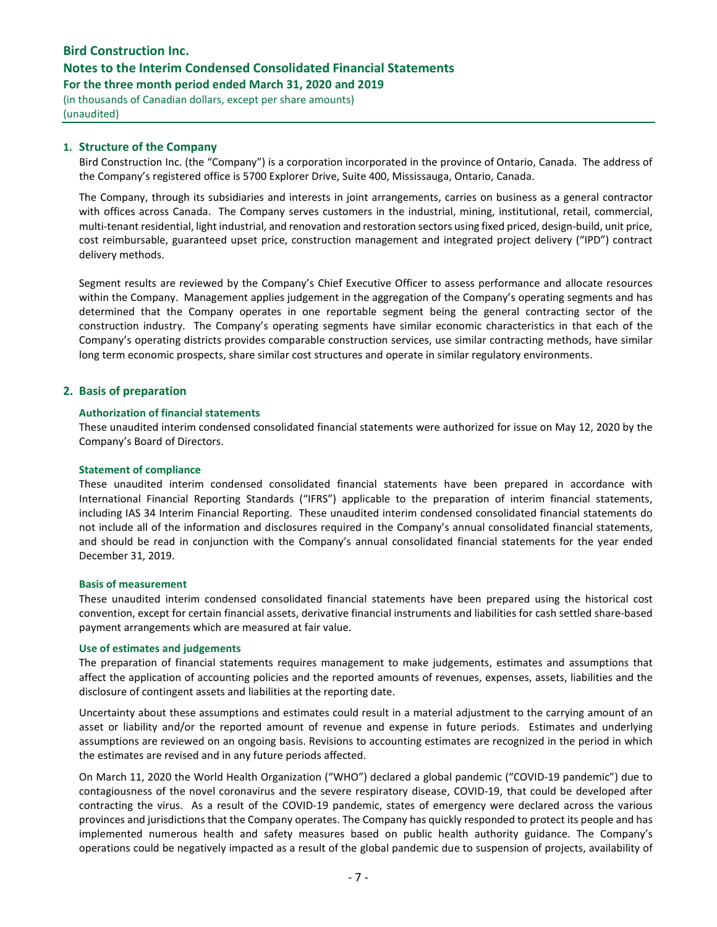## Notes to the Interim Condensed Consolidated Financial Statements

For the three month period ended March 31, 2020 and 2019

(in thousands of Canadian dollars, except per share amounts) (unaudited)

## 1. Structure of the Company

Bird Construction Inc. (the "Company") is a corporation incorporated in the province of Ontario, Canada. The address of the Company's registered office is 5700 Explorer Drive, Suite 400, Mississauga, Ontario, Canada.

The Company, through its subsidiaries and interests in joint arrangements, carries on business as a general contractor with offices across Canada. The Company serves customers in the industrial, mining, institutional, retail, commercial, multi-tenant residential, light industrial, and renovation and restoration sectors using fixed priced, design-build, unit price, cost reimbursable, guaranteed upset price, construction management and integrated project delivery ("IPD") contract delivery methods.

Segment results are reviewed by the Company's Chief Executive Officer to assess performance and allocate resources within the Company. Management applies judgement in the aggregation of the Company's operating segments and has determined that the Company operates in one reportable segment being the general contracting sector of the construction industry. The Company's operating segments have similar economic characteristics in that each of the Company's operating districts provides comparable construction services, use similar contracting methods, have similar long term economic prospects, share similar cost structures and operate in similar regulatory environments.

#### 2. Basis of preparation

#### Authorization of financial statements

These unaudited interim condensed consolidated financial statements were authorized for issue on May 12, 2020 by the Company's Board of Directors.

#### Statement of compliance

These unaudited interim condensed consolidated financial statements have been prepared in accordance with International Financial Reporting Standards ("IFRS") applicable to the preparation of interim financial statements, including IAS 34 Interim Financial Reporting. These unaudited interim condensed consolidated financial statements do not include all of the information and disclosures required in the Company's annual consolidated financial statements, and should be read in conjunction with the Company's annual consolidated financial statements for the year ended December 31, 2019.

#### Basis of measurement

These unaudited interim condensed consolidated financial statements have been prepared using the historical cost convention, except for certain financial assets, derivative financial instruments and liabilities for cash settled share-based payment arrangements which are measured at fair value.

#### Use of estimates and judgements

The preparation of financial statements requires management to make judgements, estimates and assumptions that affect the application of accounting policies and the reported amounts of revenues, expenses, assets, liabilities and the disclosure of contingent assets and liabilities at the reporting date.

Uncertainty about these assumptions and estimates could result in a material adjustment to the carrying amount of an asset or liability and/or the reported amount of revenue and expense in future periods. Estimates and underlying assumptions are reviewed on an ongoing basis. Revisions to accounting estimates are recognized in the period in which the estimates are revised and in any future periods affected.

On March 11, 2020 the World Health Organization ("WHO") declared a global pandemic ("COVID-19 pandemic") due to contagiousness of the novel coronavirus and the severe respiratory disease, COVID-19, that could be developed after contracting the virus. As a result of the COVID-19 pandemic, states of emergency were declared across the various provinces and jurisdictions that the Company operates. The Company has quickly responded to protect its people and has implemented numerous health and safety measures based on public health authority guidance. The Company's operations could be negatively impacted as a result of the global pandemic due to suspension of projects, availability of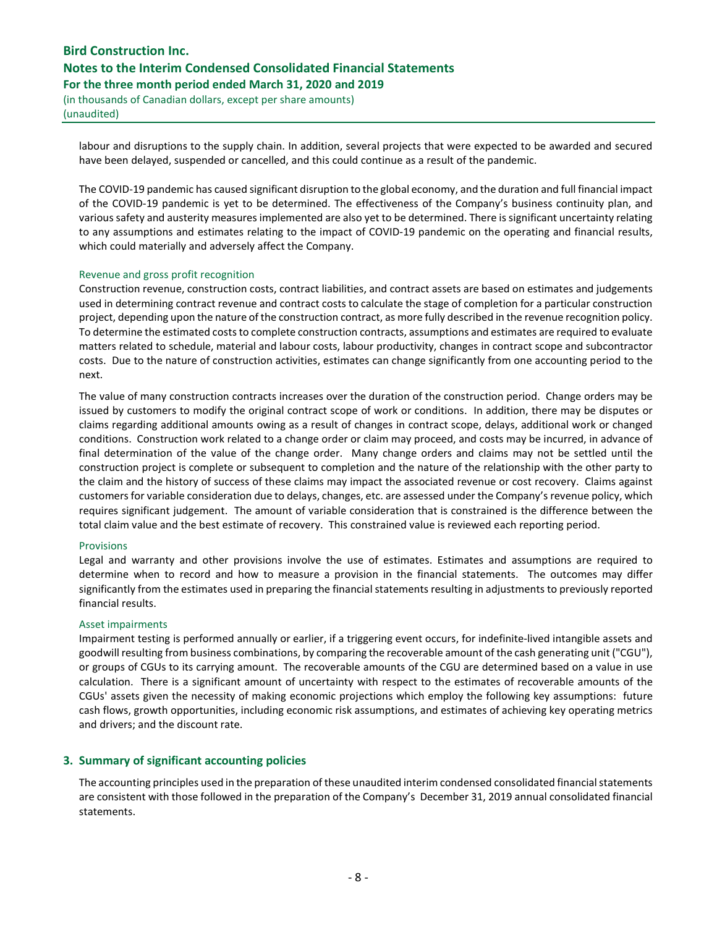# Bird Construction Inc. Notes to the Interim Condensed Consolidated Financial Statements For the three month period ended March 31, 2020 and 2019

(in thousands of Canadian dollars, except per share amounts) (unaudited)

labour and disruptions to the supply chain. In addition, several projects that were expected to be awarded and secured have been delayed, suspended or cancelled, and this could continue as a result of the pandemic.

The COVID-19 pandemic has caused significant disruption to the global economy, and the duration and full financial impact of the COVID-19 pandemic is yet to be determined. The effectiveness of the Company's business continuity plan, and various safety and austerity measures implemented are also yet to be determined. There is significant uncertainty relating to any assumptions and estimates relating to the impact of COVID-19 pandemic on the operating and financial results, which could materially and adversely affect the Company.

#### Revenue and gross profit recognition

Construction revenue, construction costs, contract liabilities, and contract assets are based on estimates and judgements used in determining contract revenue and contract costs to calculate the stage of completion for a particular construction project, depending upon the nature of the construction contract, as more fully described in the revenue recognition policy. To determine the estimated costs to complete construction contracts, assumptions and estimates are required to evaluate matters related to schedule, material and labour costs, labour productivity, changes in contract scope and subcontractor costs. Due to the nature of construction activities, estimates can change significantly from one accounting period to the next.

The value of many construction contracts increases over the duration of the construction period. Change orders may be issued by customers to modify the original contract scope of work or conditions. In addition, there may be disputes or claims regarding additional amounts owing as a result of changes in contract scope, delays, additional work or changed conditions. Construction work related to a change order or claim may proceed, and costs may be incurred, in advance of final determination of the value of the change order. Many change orders and claims may not be settled until the construction project is complete or subsequent to completion and the nature of the relationship with the other party to the claim and the history of success of these claims may impact the associated revenue or cost recovery. Claims against customers for variable consideration due to delays, changes, etc. are assessed under the Company's revenue policy, which requires significant judgement. The amount of variable consideration that is constrained is the difference between the total claim value and the best estimate of recovery. This constrained value is reviewed each reporting period.

#### Provisions

Legal and warranty and other provisions involve the use of estimates. Estimates and assumptions are required to determine when to record and how to measure a provision in the financial statements. The outcomes may differ significantly from the estimates used in preparing the financial statements resulting in adjustments to previously reported financial results.

#### Asset impairments

Impairment testing is performed annually or earlier, if a triggering event occurs, for indefinite-lived intangible assets and goodwill resulting from business combinations, by comparing the recoverable amount of the cash generating unit ("CGU"), or groups of CGUs to its carrying amount. The recoverable amounts of the CGU are determined based on a value in use calculation. There is a significant amount of uncertainty with respect to the estimates of recoverable amounts of the CGUs' assets given the necessity of making economic projections which employ the following key assumptions: future cash flows, growth opportunities, including economic risk assumptions, and estimates of achieving key operating metrics and drivers; and the discount rate.

## 3. Summary of significant accounting policies

The accounting principles used in the preparation of these unaudited interim condensed consolidated financial statements are consistent with those followed in the preparation of the Company's December 31, 2019 annual consolidated financial statements.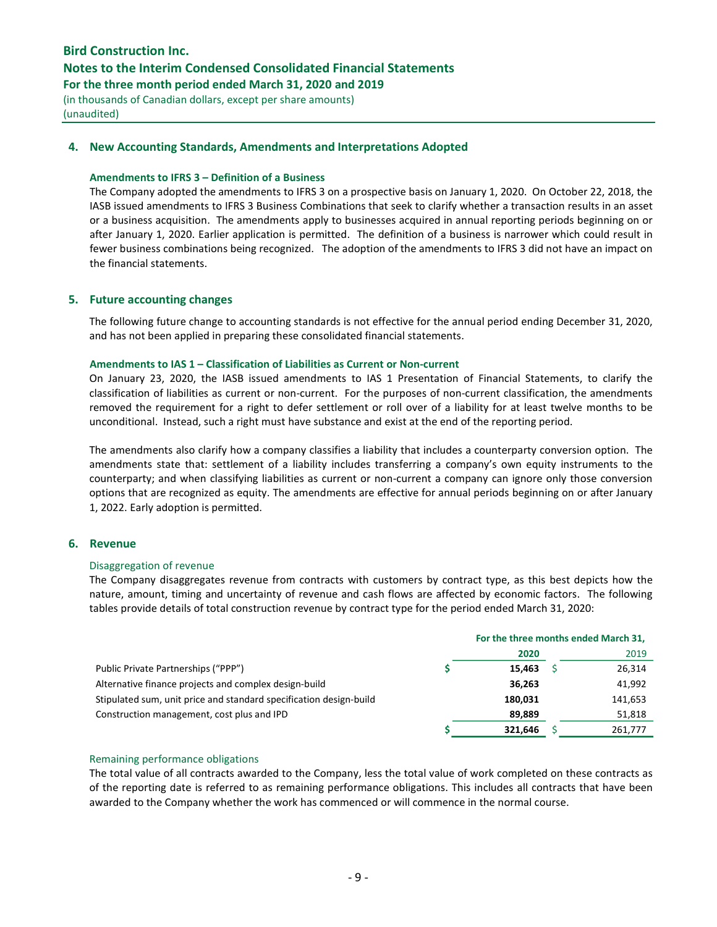## Notes to the Interim Condensed Consolidated Financial Statements

For the three month period ended March 31, 2020 and 2019

(in thousands of Canadian dollars, except per share amounts) (unaudited)

## 4. New Accounting Standards, Amendments and Interpretations Adopted

#### Amendments to IFRS 3 – Definition of a Business

The Company adopted the amendments to IFRS 3 on a prospective basis on January 1, 2020. On October 22, 2018, the IASB issued amendments to IFRS 3 Business Combinations that seek to clarify whether a transaction results in an asset or a business acquisition. The amendments apply to businesses acquired in annual reporting periods beginning on or after January 1, 2020. Earlier application is permitted. The definition of a business is narrower which could result in fewer business combinations being recognized. The adoption of the amendments to IFRS 3 did not have an impact on the financial statements.

## 5. Future accounting changes

The following future change to accounting standards is not effective for the annual period ending December 31, 2020, and has not been applied in preparing these consolidated financial statements.

#### Amendments to IAS 1 – Classification of Liabilities as Current or Non-current

On January 23, 2020, the IASB issued amendments to IAS 1 Presentation of Financial Statements, to clarify the classification of liabilities as current or non-current. For the purposes of non-current classification, the amendments removed the requirement for a right to defer settlement or roll over of a liability for at least twelve months to be unconditional. Instead, such a right must have substance and exist at the end of the reporting period.

The amendments also clarify how a company classifies a liability that includes a counterparty conversion option. The amendments state that: settlement of a liability includes transferring a company's own equity instruments to the counterparty; and when classifying liabilities as current or non-current a company can ignore only those conversion options that are recognized as equity. The amendments are effective for annual periods beginning on or after January 1, 2022. Early adoption is permitted.

## 6. Revenue

#### Disaggregation of revenue

The Company disaggregates revenue from contracts with customers by contract type, as this best depicts how the nature, amount, timing and uncertainty of revenue and cash flows are affected by economic factors. The following tables provide details of total construction revenue by contract type for the period ended March 31, 2020:

|                                                                    | For the three months ended March 31, |  |         |  |  |
|--------------------------------------------------------------------|--------------------------------------|--|---------|--|--|
|                                                                    | 2020                                 |  | 2019    |  |  |
| Public Private Partnerships ("PPP")                                | 15,463                               |  | 26,314  |  |  |
| Alternative finance projects and complex design-build              | 36,263                               |  | 41,992  |  |  |
| Stipulated sum, unit price and standard specification design-build | 180.031                              |  | 141,653 |  |  |
| Construction management, cost plus and IPD                         | 89.889                               |  | 51,818  |  |  |
|                                                                    | 321,646                              |  | 261,777 |  |  |

#### Remaining performance obligations

The total value of all contracts awarded to the Company, less the total value of work completed on these contracts as of the reporting date is referred to as remaining performance obligations. This includes all contracts that have been awarded to the Company whether the work has commenced or will commence in the normal course.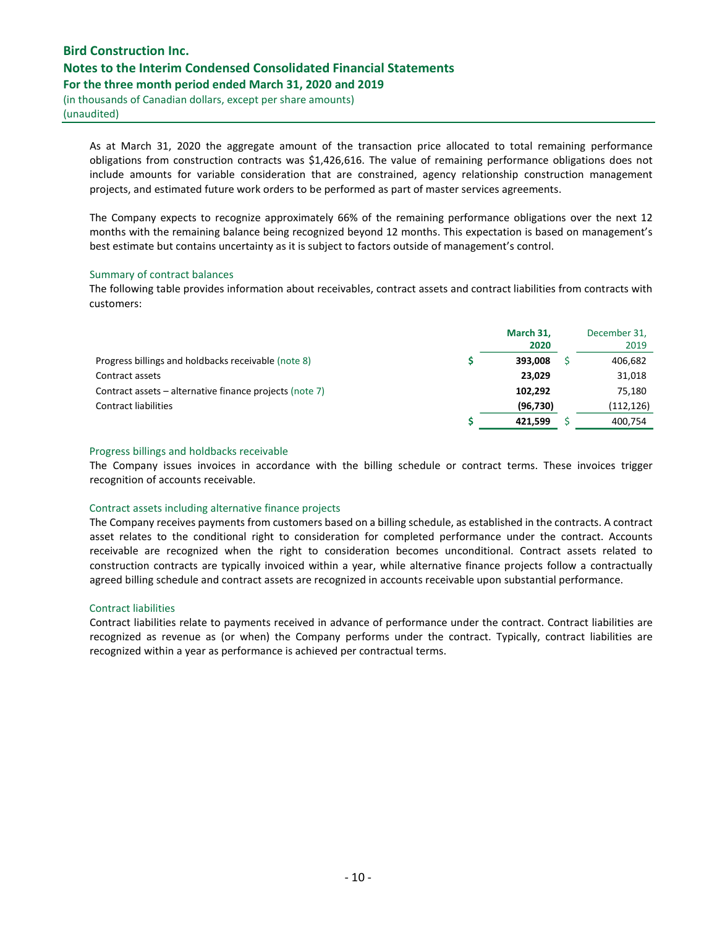# Bird Construction Inc. Notes to the Interim Condensed Consolidated Financial Statements For the three month period ended March 31, 2020 and 2019

(in thousands of Canadian dollars, except per share amounts) (unaudited)

As at March 31, 2020 the aggregate amount of the transaction price allocated to total remaining performance obligations from construction contracts was \$1,426,616. The value of remaining performance obligations does not include amounts for variable consideration that are constrained, agency relationship construction management projects, and estimated future work orders to be performed as part of master services agreements.

The Company expects to recognize approximately 66% of the remaining performance obligations over the next 12 months with the remaining balance being recognized beyond 12 months. This expectation is based on management's best estimate but contains uncertainty as it is subject to factors outside of management's control.

#### Summary of contract balances

The following table provides information about receivables, contract assets and contract liabilities from contracts with customers:

|                                                         | March 31,<br>2020 | December 31,<br>2019 |
|---------------------------------------------------------|-------------------|----------------------|
| Progress billings and holdbacks receivable (note 8)     | 393.008           | 406,682              |
| Contract assets                                         | 23,029            | 31,018               |
| Contract assets – alternative finance projects (note 7) | 102.292           | 75,180               |
| <b>Contract liabilities</b>                             | (96, 730)         | (112, 126)           |
|                                                         | 421.599           | 400.754              |

#### Progress billings and holdbacks receivable

The Company issues invoices in accordance with the billing schedule or contract terms. These invoices trigger recognition of accounts receivable.

#### Contract assets including alternative finance projects

The Company receives payments from customers based on a billing schedule, as established in the contracts. A contract asset relates to the conditional right to consideration for completed performance under the contract. Accounts receivable are recognized when the right to consideration becomes unconditional. Contract assets related to construction contracts are typically invoiced within a year, while alternative finance projects follow a contractually agreed billing schedule and contract assets are recognized in accounts receivable upon substantial performance.

#### Contract liabilities

Contract liabilities relate to payments received in advance of performance under the contract. Contract liabilities are recognized as revenue as (or when) the Company performs under the contract. Typically, contract liabilities are recognized within a year as performance is achieved per contractual terms.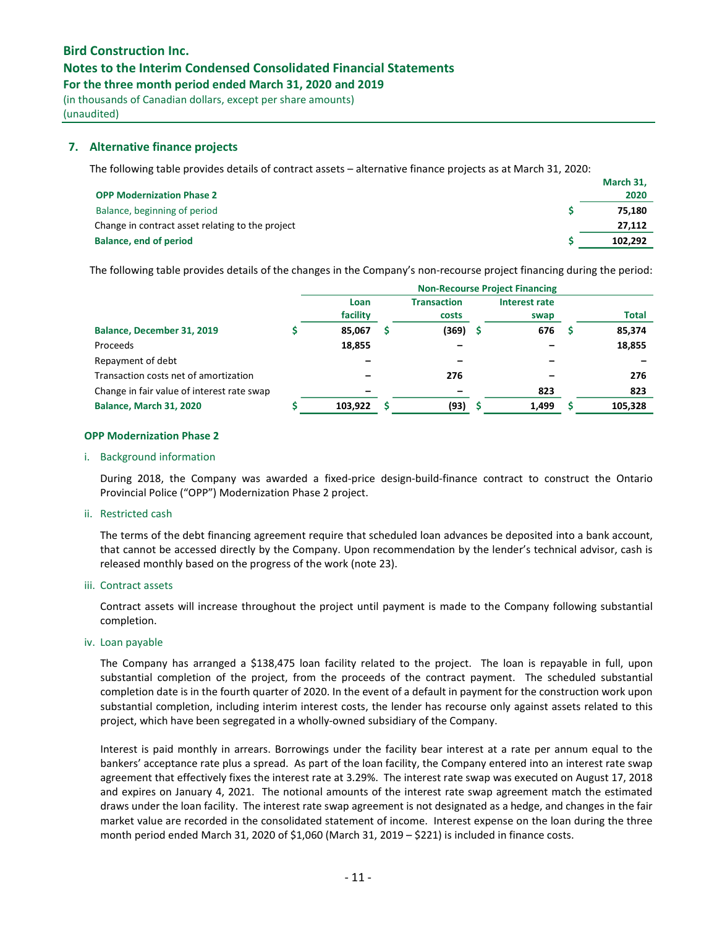## Notes to the Interim Condensed Consolidated Financial Statements

For the three month period ended March 31, 2020 and 2019

(in thousands of Canadian dollars, except per share amounts) (unaudited)

## 7. Alternative finance projects

The following table provides details of contract assets – alternative finance projects as at March 31, 2020:

|                                                  | March 31, |
|--------------------------------------------------|-----------|
| <b>OPP Modernization Phase 2</b>                 | 2020      |
| Balance, beginning of period                     | 75.180    |
| Change in contract asset relating to the project | 27.112    |
| Balance, end of period                           | 102.292   |

The following table provides details of the changes in the Company's non-recourse project financing during the period:

|                                            | <b>Non-Recourse Project Financing</b> |  |                             |  |                       |  |              |
|--------------------------------------------|---------------------------------------|--|-----------------------------|--|-----------------------|--|--------------|
|                                            | Loan<br>facility                      |  | <b>Transaction</b><br>costs |  | Interest rate<br>swap |  | <b>Total</b> |
| Balance, December 31, 2019                 | 85,067                                |  | (369)                       |  | 676                   |  | 85,374       |
| Proceeds                                   | 18,855                                |  |                             |  |                       |  | 18,855       |
| Repayment of debt                          |                                       |  |                             |  |                       |  |              |
| Transaction costs net of amortization      |                                       |  | 276                         |  |                       |  | 276          |
| Change in fair value of interest rate swap |                                       |  |                             |  | 823                   |  | 823          |
| <b>Balance, March 31, 2020</b>             | 103,922                               |  | (93)                        |  | 1,499                 |  | 105,328      |

### OPP Modernization Phase 2

#### i. Background information

During 2018, the Company was awarded a fixed-price design-build-finance contract to construct the Ontario Provincial Police ("OPP") Modernization Phase 2 project.

#### ii. Restricted cash

The terms of the debt financing agreement require that scheduled loan advances be deposited into a bank account, that cannot be accessed directly by the Company. Upon recommendation by the lender's technical advisor, cash is released monthly based on the progress of the work (note 23).

#### iii. Contract assets

Contract assets will increase throughout the project until payment is made to the Company following substantial completion.

#### iv. Loan payable

The Company has arranged a \$138,475 loan facility related to the project. The loan is repayable in full, upon substantial completion of the project, from the proceeds of the contract payment. The scheduled substantial completion date is in the fourth quarter of 2020. In the event of a default in payment for the construction work upon substantial completion, including interim interest costs, the lender has recourse only against assets related to this project, which have been segregated in a wholly-owned subsidiary of the Company.

Interest is paid monthly in arrears. Borrowings under the facility bear interest at a rate per annum equal to the bankers' acceptance rate plus a spread. As part of the loan facility, the Company entered into an interest rate swap agreement that effectively fixes the interest rate at 3.29%. The interest rate swap was executed on August 17, 2018 and expires on January 4, 2021. The notional amounts of the interest rate swap agreement match the estimated draws under the loan facility. The interest rate swap agreement is not designated as a hedge, and changes in the fair market value are recorded in the consolidated statement of income. Interest expense on the loan during the three month period ended March 31, 2020 of \$1,060 (March 31, 2019 – \$221) is included in finance costs.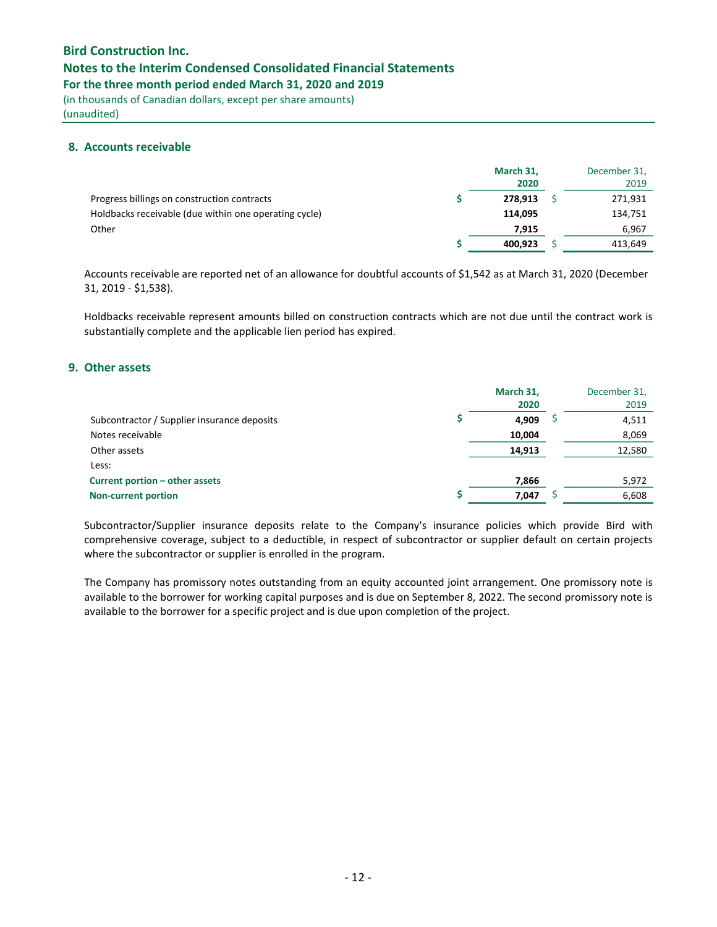## Notes to the Interim Condensed Consolidated Financial Statements

For the three month period ended March 31, 2020 and 2019

(in thousands of Canadian dollars, except per share amounts) (unaudited)

## 8. Accounts receivable

|                                                       | March 31,<br>2020 | December 31,<br>2019 |
|-------------------------------------------------------|-------------------|----------------------|
| Progress billings on construction contracts           | 278.913           | 271,931              |
| Holdbacks receivable (due within one operating cycle) | 114.095           | 134,751              |
| Other                                                 | 7.915             | 6,967                |
|                                                       | 400,923           | 413,649              |

Accounts receivable are reported net of an allowance for doubtful accounts of \$1,542 as at March 31, 2020 (December 31, 2019 - \$1,538).

Holdbacks receivable represent amounts billed on construction contracts which are not due until the contract work is substantially complete and the applicable lien period has expired.

## 9. Other assets

|                                             | March 31,<br>2020 | December 31,<br>2019 |
|---------------------------------------------|-------------------|----------------------|
| Subcontractor / Supplier insurance deposits | 4.909             | 4,511                |
| Notes receivable                            | 10,004            | 8,069                |
| Other assets                                | 14,913            | 12,580               |
| Less:                                       |                   |                      |
| Current portion – other assets              | 7,866             | 5,972                |
| <b>Non-current portion</b>                  | 7.047             | 6,608                |

Subcontractor/Supplier insurance deposits relate to the Company's insurance policies which provide Bird with comprehensive coverage, subject to a deductible, in respect of subcontractor or supplier default on certain projects where the subcontractor or supplier is enrolled in the program.

The Company has promissory notes outstanding from an equity accounted joint arrangement. One promissory note is available to the borrower for working capital purposes and is due on September 8, 2022. The second promissory note is available to the borrower for a specific project and is due upon completion of the project.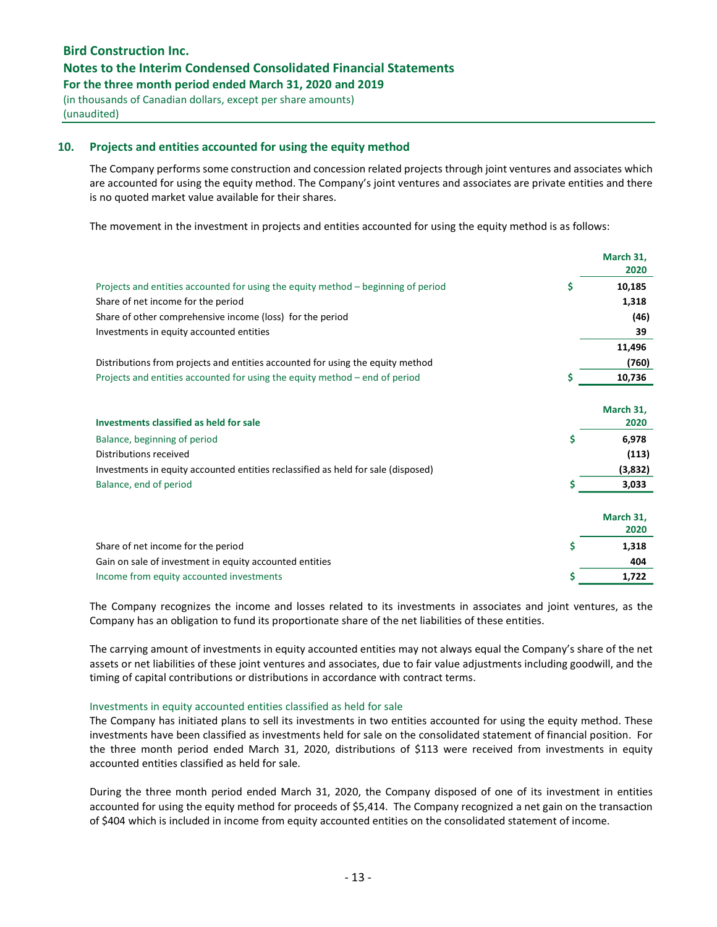## Notes to the Interim Condensed Consolidated Financial Statements

For the three month period ended March 31, 2020 and 2019

(in thousands of Canadian dollars, except per share amounts) (unaudited)

## 10. Projects and entities accounted for using the equity method

The Company performs some construction and concession related projects through joint ventures and associates which are accounted for using the equity method. The Company's joint ventures and associates are private entities and there is no quoted market value available for their shares.

The movement in the investment in projects and entities accounted for using the equity method is as follows:

|                                                                                   | March 31,<br>2020 |
|-----------------------------------------------------------------------------------|-------------------|
| Projects and entities accounted for using the equity method – beginning of period | \$<br>10,185      |
| Share of net income for the period                                                | 1,318             |
| Share of other comprehensive income (loss) for the period                         | (46)              |
| Investments in equity accounted entities                                          | 39                |
|                                                                                   | 11,496            |
| Distributions from projects and entities accounted for using the equity method    | (760)             |
| Projects and entities accounted for using the equity method - end of period       | \$<br>10,736      |
|                                                                                   |                   |
|                                                                                   | March 31,         |
| Investments classified as held for sale                                           | 2020              |
| Balance, beginning of period                                                      | \$<br>6,978       |
| Distributions received                                                            | (113)             |
| Investments in equity accounted entities reclassified as held for sale (disposed) | (3,832)           |
| Balance, end of period                                                            | \$<br>3,033       |
|                                                                                   |                   |
|                                                                                   | March 31,         |
|                                                                                   | 2020              |
| Share of net income for the period                                                | \$<br>1,318       |
| Gain on sale of investment in equity accounted entities                           | 404               |
| Income from equity accounted investments                                          | \$<br>1,722       |

The Company recognizes the income and losses related to its investments in associates and joint ventures, as the Company has an obligation to fund its proportionate share of the net liabilities of these entities.

The carrying amount of investments in equity accounted entities may not always equal the Company's share of the net assets or net liabilities of these joint ventures and associates, due to fair value adjustments including goodwill, and the timing of capital contributions or distributions in accordance with contract terms.

#### Investments in equity accounted entities classified as held for sale

The Company has initiated plans to sell its investments in two entities accounted for using the equity method. These investments have been classified as investments held for sale on the consolidated statement of financial position. For the three month period ended March 31, 2020, distributions of \$113 were received from investments in equity accounted entities classified as held for sale.

During the three month period ended March 31, 2020, the Company disposed of one of its investment in entities accounted for using the equity method for proceeds of \$5,414. The Company recognized a net gain on the transaction of \$404 which is included in income from equity accounted entities on the consolidated statement of income.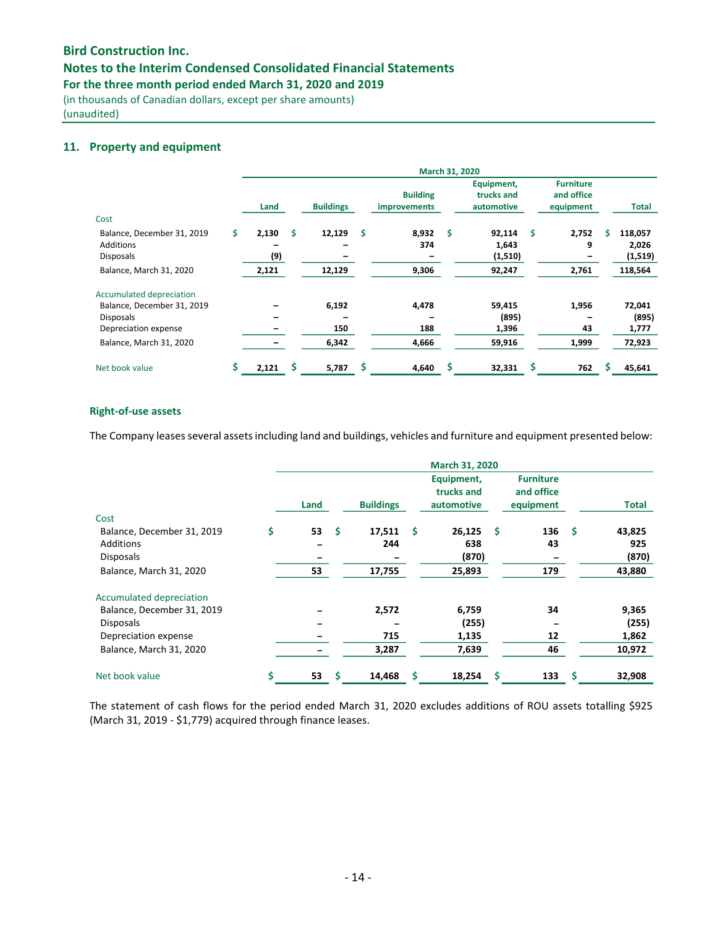# Notes to the Interim Condensed Consolidated Financial Statements

For the three month period ended March 31, 2020 and 2019

(in thousands of Canadian dollars, except per share amounts) (unaudited)

## 11. Property and equipment

|                            | March 31, 2020 |       |   |                  |    |                                 |    |                                        |   |                                             |   |         |  |
|----------------------------|----------------|-------|---|------------------|----|---------------------------------|----|----------------------------------------|---|---------------------------------------------|---|---------|--|
|                            |                | Land  |   | <b>Buildings</b> |    | <b>Building</b><br>improvements |    | Equipment,<br>trucks and<br>automotive |   | <b>Furniture</b><br>and office<br>equipment |   | Total   |  |
| Cost                       |                |       |   |                  |    |                                 |    |                                        |   |                                             |   |         |  |
| Balance, December 31, 2019 | Ś.             | 2,130 | s | 12,129           | \$ | 8,932                           | \$ | 92,114                                 | Ś | 2,752                                       | s | 118,057 |  |
| <b>Additions</b>           |                |       |   |                  |    | 374                             |    | 1,643                                  |   | 9                                           |   | 2,026   |  |
| <b>Disposals</b>           |                | (9)   |   |                  |    |                                 |    | (1,510)                                |   |                                             |   | (1,519) |  |
| Balance, March 31, 2020    |                | 2,121 |   | 12,129           |    | 9,306                           |    | 92,247                                 |   | 2,761                                       |   | 118,564 |  |
| Accumulated depreciation   |                |       |   |                  |    |                                 |    |                                        |   |                                             |   |         |  |
| Balance, December 31, 2019 |                |       |   | 6,192            |    | 4,478                           |    | 59,415                                 |   | 1,956                                       |   | 72,041  |  |
| <b>Disposals</b>           |                |       |   |                  |    |                                 |    | (895)                                  |   |                                             |   | (895)   |  |
| Depreciation expense       |                |       |   | 150              |    | 188                             |    | 1,396                                  |   | 43                                          |   | 1,777   |  |
| Balance, March 31, 2020    |                |       |   | 6,342            |    | 4,666                           |    | 59,916                                 |   | 1,999                                       |   | 72,923  |  |
| Net book value             | \$             | 2,121 |   | 5,787            | \$ | 4,640                           |    | 32,331                                 | S | 762                                         |   | 45,641  |  |

#### Right-of-use assets

The Company leases several assets including land and buildings, vehicles and furniture and equipment presented below:

|                            | March 31, 2020 |      |     |                  |      |                                        |      |                                             |      |              |  |  |  |
|----------------------------|----------------|------|-----|------------------|------|----------------------------------------|------|---------------------------------------------|------|--------------|--|--|--|
|                            |                | Land |     | <b>Buildings</b> |      | Equipment,<br>trucks and<br>automotive |      | <b>Furniture</b><br>and office<br>equipment |      | <b>Total</b> |  |  |  |
| Cost                       |                |      |     |                  |      |                                        |      |                                             |      |              |  |  |  |
| Balance, December 31, 2019 | \$             | 53   | .\$ | 17,511           | - \$ | 26,125                                 | - \$ | 136                                         | - \$ | 43,825       |  |  |  |
| <b>Additions</b>           |                |      |     | 244              |      | 638                                    |      | 43                                          |      | 925          |  |  |  |
| <b>Disposals</b>           |                |      |     |                  |      | (870)                                  |      |                                             |      | (870)        |  |  |  |
| Balance, March 31, 2020    |                | 53   |     | 17,755           |      | 25,893                                 |      | 179                                         |      | 43,880       |  |  |  |
| Accumulated depreciation   |                |      |     |                  |      |                                        |      |                                             |      |              |  |  |  |
| Balance, December 31, 2019 |                |      |     | 2,572            |      | 6,759                                  |      | 34                                          |      | 9,365        |  |  |  |
| <b>Disposals</b>           |                |      |     |                  |      | (255)                                  |      |                                             |      | (255)        |  |  |  |
| Depreciation expense       |                |      |     | 715              |      | 1,135                                  |      | 12                                          |      | 1,862        |  |  |  |
| Balance, March 31, 2020    |                |      |     | 3,287            |      | 7,639                                  |      | 46                                          |      | 10,972       |  |  |  |
| Net book value             | Ŝ              | 53   | S   | 14,468           | s    | 18,254                                 | \$   | 133                                         | S    | 32,908       |  |  |  |

The statement of cash flows for the period ended March 31, 2020 excludes additions of ROU assets totalling \$925 (March 31, 2019 - \$1,779) acquired through finance leases.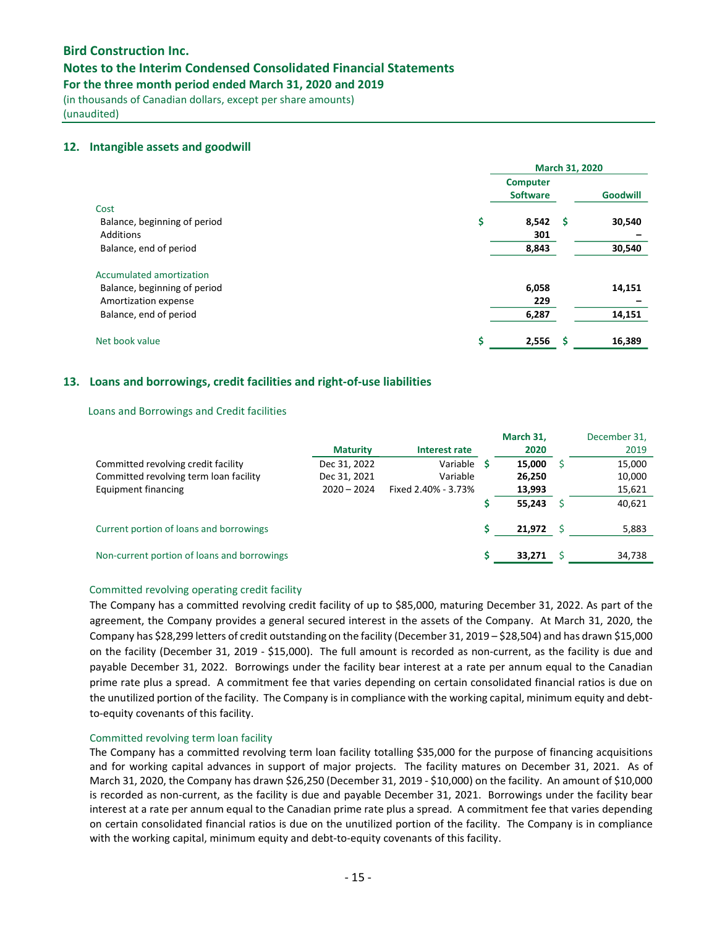## Notes to the Interim Condensed Consolidated Financial Statements

For the three month period ended March 31, 2020 and 2019

(in thousands of Canadian dollars, except per share amounts) (unaudited)

## 12. Intangible assets and goodwill

|                                                                                  | March 31, 2020                     |    |                 |  |  |  |  |
|----------------------------------------------------------------------------------|------------------------------------|----|-----------------|--|--|--|--|
| Cost                                                                             | <b>Computer</b><br><b>Software</b> |    | <b>Goodwill</b> |  |  |  |  |
| Balance, beginning of period<br>Additions                                        | \$<br>8,542<br>301                 | -S | 30,540          |  |  |  |  |
| Balance, end of period                                                           | 8,843                              |    | 30,540          |  |  |  |  |
| Accumulated amortization<br>Balance, beginning of period<br>Amortization expense | 6,058<br>229                       |    | 14,151          |  |  |  |  |
| Balance, end of period                                                           | 6,287                              |    | 14,151          |  |  |  |  |
| Net book value                                                                   | \$<br>2,556                        | .S | 16,389          |  |  |  |  |

## 13. Loans and borrowings, credit facilities and right-of-use liabilities

## Loans and Borrowings and Credit facilities

|                                             | <b>Maturity</b> | Interest rate       | March 31,<br>2020 | December 31,<br>2019 |
|---------------------------------------------|-----------------|---------------------|-------------------|----------------------|
| Committed revolving credit facility         | Dec 31, 2022    | Variable <b>S</b>   | 15.000            | 15,000               |
| Committed revolving term loan facility      | Dec 31, 2021    | Variable            | 26,250            | 10,000               |
| Equipment financing                         | $2020 - 2024$   | Fixed 2.40% - 3.73% | 13,993            | 15,621               |
|                                             |                 |                     | 55.243            | 40,621               |
| Current portion of loans and borrowings     |                 |                     | 21,972            | 5,883                |
| Non-current portion of loans and borrowings |                 |                     | 33,271            | 34,738               |

## Committed revolving operating credit facility

The Company has a committed revolving credit facility of up to \$85,000, maturing December 31, 2022. As part of the agreement, the Company provides a general secured interest in the assets of the Company. At March 31, 2020, the Company has \$28,299 letters of credit outstanding on the facility (December 31, 2019 – \$28,504) and has drawn \$15,000 on the facility (December 31, 2019 - \$15,000). The full amount is recorded as non-current, as the facility is due and payable December 31, 2022. Borrowings under the facility bear interest at a rate per annum equal to the Canadian prime rate plus a spread. A commitment fee that varies depending on certain consolidated financial ratios is due on the unutilized portion of the facility. The Company is in compliance with the working capital, minimum equity and debtto-equity covenants of this facility.

#### Committed revolving term loan facility

The Company has a committed revolving term loan facility totalling \$35,000 for the purpose of financing acquisitions and for working capital advances in support of major projects. The facility matures on December 31, 2021. As of March 31, 2020, the Company has drawn \$26,250 (December 31, 2019 - \$10,000) on the facility. An amount of \$10,000 is recorded as non-current, as the facility is due and payable December 31, 2021. Borrowings under the facility bear interest at a rate per annum equal to the Canadian prime rate plus a spread. A commitment fee that varies depending on certain consolidated financial ratios is due on the unutilized portion of the facility. The Company is in compliance with the working capital, minimum equity and debt-to-equity covenants of this facility.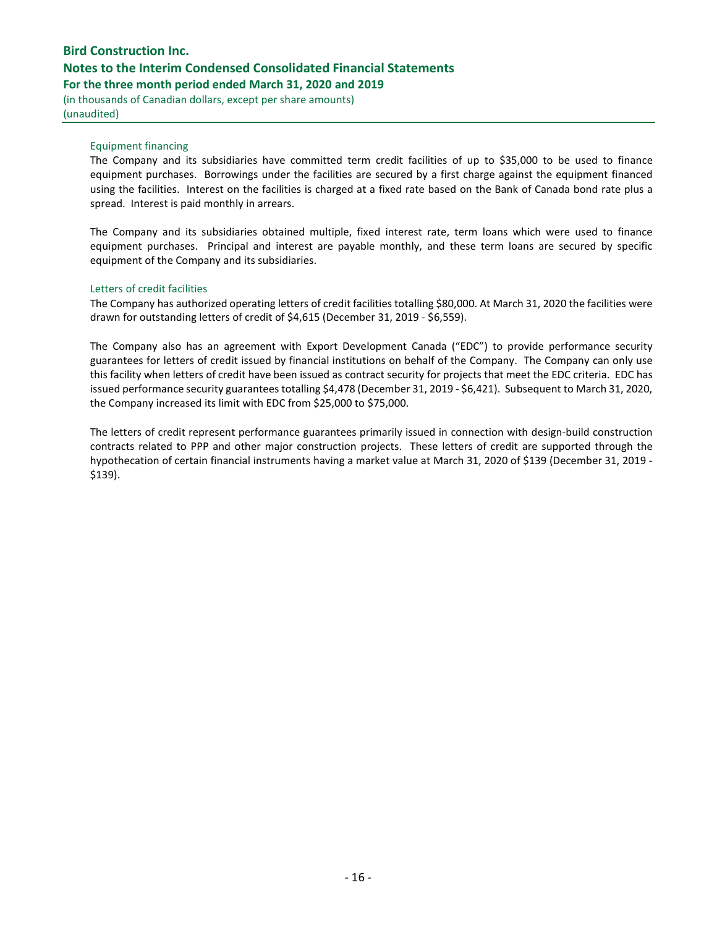# Bird Construction Inc. Notes to the Interim Condensed Consolidated Financial Statements For the three month period ended March 31, 2020 and 2019

(in thousands of Canadian dollars, except per share amounts) (unaudited)

### Equipment financing

The Company and its subsidiaries have committed term credit facilities of up to \$35,000 to be used to finance equipment purchases. Borrowings under the facilities are secured by a first charge against the equipment financed using the facilities. Interest on the facilities is charged at a fixed rate based on the Bank of Canada bond rate plus a spread. Interest is paid monthly in arrears.

The Company and its subsidiaries obtained multiple, fixed interest rate, term loans which were used to finance equipment purchases. Principal and interest are payable monthly, and these term loans are secured by specific equipment of the Company and its subsidiaries.

### Letters of credit facilities

The Company has authorized operating letters of credit facilities totalling \$80,000. At March 31, 2020 the facilities were drawn for outstanding letters of credit of \$4,615 (December 31, 2019 - \$6,559).

The Company also has an agreement with Export Development Canada ("EDC") to provide performance security guarantees for letters of credit issued by financial institutions on behalf of the Company. The Company can only use this facility when letters of credit have been issued as contract security for projects that meet the EDC criteria. EDC has issued performance security guarantees totalling \$4,478 (December 31, 2019 - \$6,421). Subsequent to March 31, 2020, the Company increased its limit with EDC from \$25,000 to \$75,000.

The letters of credit represent performance guarantees primarily issued in connection with design-build construction contracts related to PPP and other major construction projects. These letters of credit are supported through the hypothecation of certain financial instruments having a market value at March 31, 2020 of \$139 (December 31, 2019 - \$139).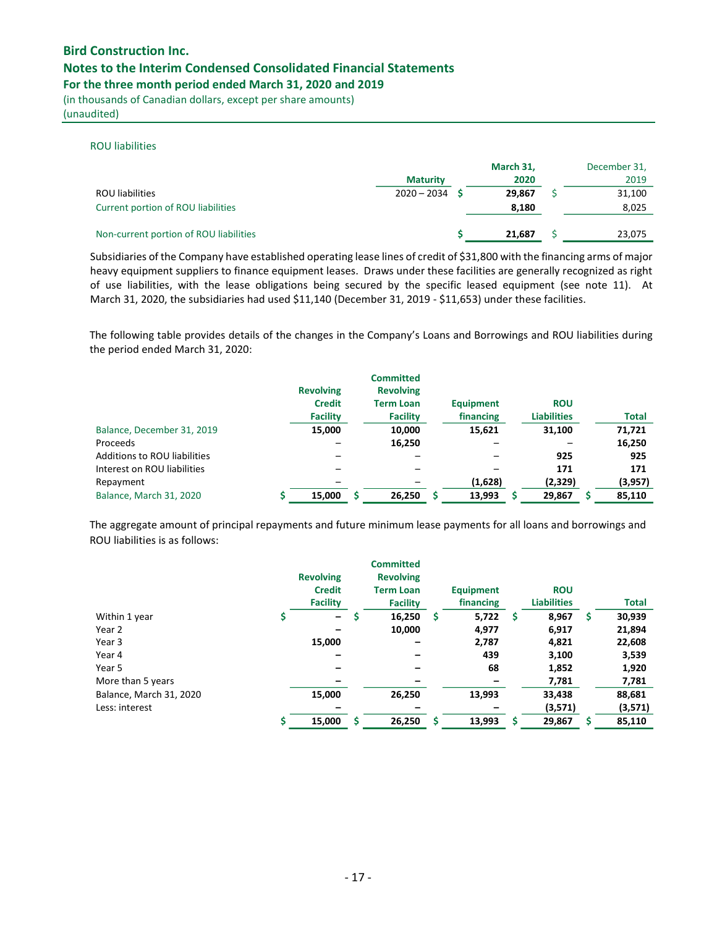## Notes to the Interim Condensed Consolidated Financial Statements

For the three month period ended March 31, 2020 and 2019

(in thousands of Canadian dollars, except per share amounts) (unaudited)

# ROU liabilities

|                                        | <b>Maturity</b> | March 31,<br>2020 | December 31,<br>2019 |
|----------------------------------------|-----------------|-------------------|----------------------|
| <b>ROU</b> liabilities                 | $2020 - 2034$   | 29.867            | 31,100               |
| Current portion of ROU liabilities     |                 | 8,180             | 8,025                |
| Non-current portion of ROU liabilities |                 | 21.687            | 23,075               |

Subsidiaries of the Company have established operating lease lines of credit of \$31,800 with the financing arms of major heavy equipment suppliers to finance equipment leases. Draws under these facilities are generally recognized as right of use liabilities, with the lease obligations being secured by the specific leased equipment (see note 11). At March 31, 2020, the subsidiaries had used \$11,140 (December 31, 2019 - \$11,653) under these facilities.

The following table provides details of the changes in the Company's Loans and Borrowings and ROU liabilities during the period ended March 31, 2020:

|                                     | <b>Revolving</b><br><b>Credit</b> | <b>Committed</b><br><b>Revolving</b><br><b>Term Loan</b> | <b>Equipment</b> | <b>ROU</b>         |              |
|-------------------------------------|-----------------------------------|----------------------------------------------------------|------------------|--------------------|--------------|
|                                     | <b>Facility</b>                   | <b>Facility</b>                                          | financing        | <b>Liabilities</b> | <b>Total</b> |
| Balance, December 31, 2019          | 15,000                            | 10,000                                                   | 15,621           | 31,100             | 71,721       |
| Proceeds                            |                                   | 16,250                                                   |                  |                    | 16,250       |
| <b>Additions to ROU liabilities</b> |                                   |                                                          |                  | 925                | 925          |
| Interest on ROU liabilities         |                                   |                                                          |                  | 171                | 171          |
| Repayment                           |                                   |                                                          | (1,628)          | (2,329)            | (3,957)      |
| <b>Balance, March 31, 2020</b>      | 15,000                            | 26.250                                                   | 13,993           | 29,867             | 85,110       |

The aggregate amount of principal repayments and future minimum lease payments for all loans and borrowings and ROU liabilities is as follows:

|                         | <b>Revolving</b><br><b>Credit</b><br><b>Facility</b> | <b>Committed</b><br><b>Revolving</b><br><b>Term Loan</b><br><b>Facility</b> |   | <b>Equipment</b><br>financing |    | <b>ROU</b><br><b>Liabilities</b> |   | <b>Total</b> |
|-------------------------|------------------------------------------------------|-----------------------------------------------------------------------------|---|-------------------------------|----|----------------------------------|---|--------------|
| Within 1 year           | $\qquad \qquad -$                                    | 16,250                                                                      | S | 5,722                         | \$ | 8,967                            | S | 30,939       |
| Year 2                  |                                                      | 10,000                                                                      |   | 4,977                         |    | 6,917                            |   | 21,894       |
| Year 3                  | 15,000                                               | -                                                                           |   | 2,787                         |    | 4,821                            |   | 22,608       |
| Year 4                  |                                                      |                                                                             |   | 439                           |    | 3,100                            |   | 3,539        |
| Year 5                  |                                                      |                                                                             |   | 68                            |    | 1,852                            |   | 1,920        |
| More than 5 years       |                                                      |                                                                             |   |                               |    | 7,781                            |   | 7,781        |
| Balance, March 31, 2020 | 15,000                                               | 26,250                                                                      |   | 13,993                        |    | 33,438                           |   | 88,681       |
| Less: interest          |                                                      |                                                                             |   |                               |    | (3,571)                          |   | (3,571)      |
|                         | 15,000                                               | 26,250                                                                      |   | 13,993                        | S  | 29,867                           |   | 85,110       |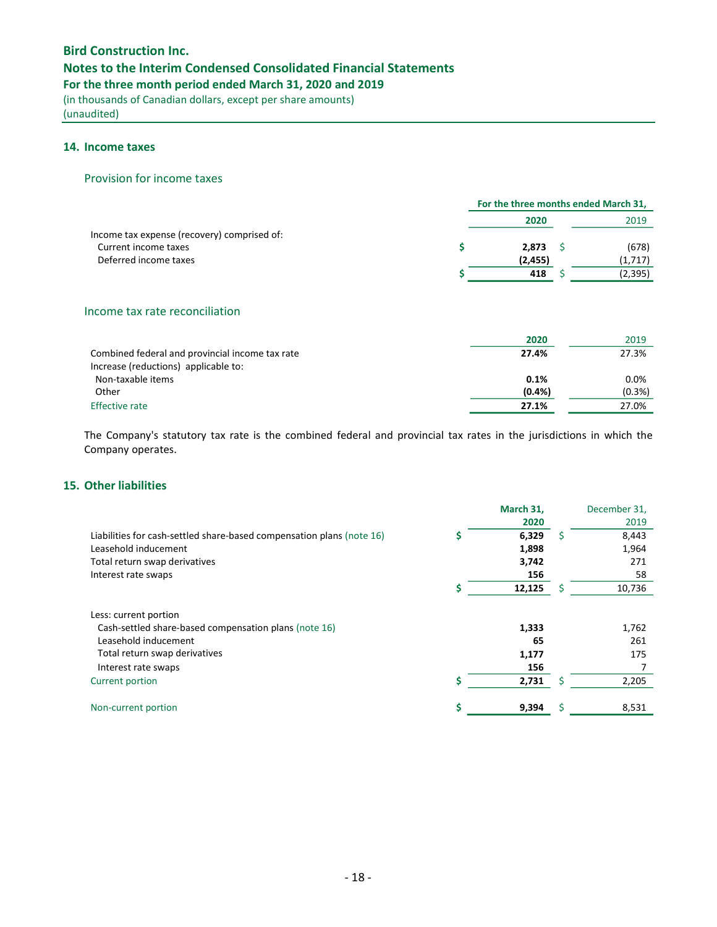# Notes to the Interim Condensed Consolidated Financial Statements

For the three month period ended March 31, 2020 and 2019

(in thousands of Canadian dollars, except per share amounts) (unaudited)

## 14. Income taxes

### Provision for income taxes

|                                             |          | For the three months ended March 31, |          |  |  |  |
|---------------------------------------------|----------|--------------------------------------|----------|--|--|--|
|                                             | 2020     |                                      | 2019     |  |  |  |
| Income tax expense (recovery) comprised of: |          |                                      |          |  |  |  |
| Current income taxes                        | 2,873    |                                      | (678)    |  |  |  |
| Deferred income taxes                       | (2, 455) |                                      | (1,717)  |  |  |  |
|                                             | 418      |                                      | (2, 395) |  |  |  |

# Income tax rate reconciliation

|                                                 | 2020    | 2019      |
|-------------------------------------------------|---------|-----------|
| Combined federal and provincial income tax rate | 27.4%   | 27.3%     |
| Increase (reductions) applicable to:            |         |           |
| Non-taxable items                               | 0.1%    | 0.0%      |
| Other                                           | (0.4% ) | $(0.3\%)$ |
| <b>Effective rate</b>                           | 27.1%   | 27.0%     |

The Company's statutory tax rate is the combined federal and provincial tax rates in the jurisdictions in which the Company operates.

# 15. Other liabilities

|                                                                       | March 31, |   | December 31. |
|-----------------------------------------------------------------------|-----------|---|--------------|
|                                                                       | 2020      |   | 2019         |
| Liabilities for cash-settled share-based compensation plans (note 16) | 6,329     | S | 8,443        |
| Leasehold inducement                                                  | 1,898     |   | 1,964        |
| Total return swap derivatives                                         | 3,742     |   | 271          |
| Interest rate swaps                                                   | 156       |   | 58           |
|                                                                       | 12,125    |   | 10,736       |
| Less: current portion                                                 |           |   |              |
| Cash-settled share-based compensation plans (note 16)                 | 1,333     |   | 1,762        |
| Leasehold inducement                                                  | 65        |   | 261          |
| Total return swap derivatives                                         | 1,177     |   | 175          |
| Interest rate swaps                                                   | 156       |   |              |
| Current portion                                                       | 2,731     |   | 2,205        |
| Non-current portion                                                   | 9,394     |   | 8,531        |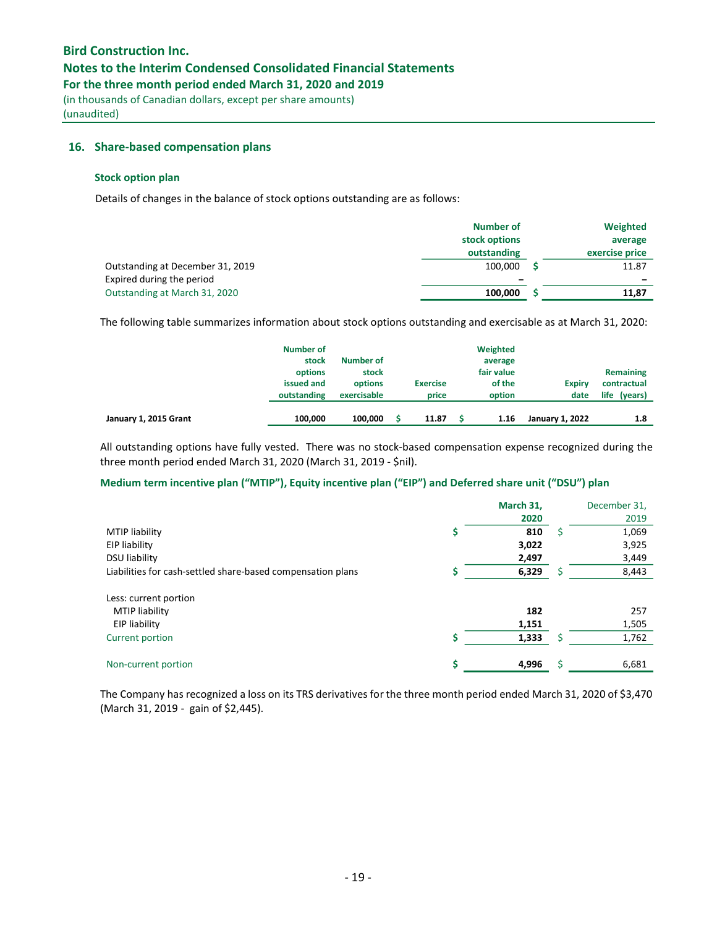## Notes to the Interim Condensed Consolidated Financial Statements

For the three month period ended March 31, 2020 and 2019

(in thousands of Canadian dollars, except per share amounts) (unaudited)

### 16. Share-based compensation plans

#### Stock option plan

Details of changes in the balance of stock options outstanding are as follows:

|                                  | <b>Number of</b> | Weighted                 |
|----------------------------------|------------------|--------------------------|
|                                  | stock options    | average                  |
|                                  | outstanding      | exercise price           |
| Outstanding at December 31, 2019 | 100.000          | 11.87                    |
| Expired during the period        | -                | $\overline{\phantom{0}}$ |
| Outstanding at March 31, 2020    | 100.000          | 11.87                    |

The following table summarizes information about stock options outstanding and exercisable as at March 31, 2020:

|                       | Number of<br>stock<br>options<br>issued and<br>outstanding | Number of<br>stock<br>options<br>exercisable | <b>Exercise</b><br>price | Weighted<br>average<br>fair value<br>of the<br>option | <b>Expiry</b><br>date  | Remaining<br>contractual<br>life (years) |
|-----------------------|------------------------------------------------------------|----------------------------------------------|--------------------------|-------------------------------------------------------|------------------------|------------------------------------------|
| January 1, 2015 Grant | 100.000                                                    | 100.000                                      | 11.87                    | 1.16                                                  | <b>January 1, 2022</b> | 1.8                                      |

All outstanding options have fully vested. There was no stock-based compensation expense recognized during the three month period ended March 31, 2020 (March 31, 2019 - \$nil).

## Medium term incentive plan ("MTIP"), Equity incentive plan ("EIP") and Deferred share unit ("DSU") plan

|                                                             |    | March 31, |    | December 31, |
|-------------------------------------------------------------|----|-----------|----|--------------|
|                                                             |    | 2020      |    | 2019         |
| <b>MTIP liability</b>                                       | \$ | 810       | \$ | 1,069        |
| EIP liability                                               |    | 3,022     |    | 3,925        |
| <b>DSU liability</b>                                        |    | 2,497     |    | 3,449        |
| Liabilities for cash-settled share-based compensation plans |    | 6,329     |    | 8,443        |
| Less: current portion                                       |    |           |    |              |
| <b>MTIP</b> liability                                       |    | 182       |    | 257          |
| EIP liability                                               |    | 1,151     |    | 1,505        |
| Current portion                                             | Ś  | 1,333     | \$ | 1,762        |
| Non-current portion                                         | \$ | 4,996     | Ś  | 6,681        |

The Company has recognized a loss on its TRS derivatives for the three month period ended March 31, 2020 of \$3,470 (March 31, 2019 - gain of \$2,445).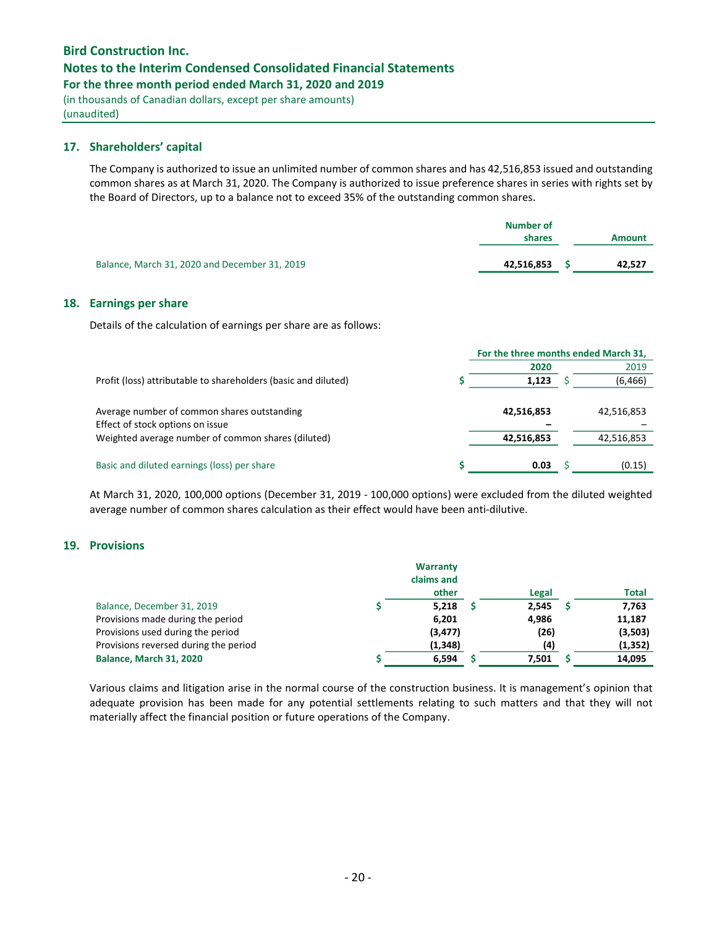## Notes to the Interim Condensed Consolidated Financial Statements

For the three month period ended March 31, 2020 and 2019

(in thousands of Canadian dollars, except per share amounts) (unaudited)

## 17. Shareholders' capital

The Company is authorized to issue an unlimited number of common shares and has 42,516,853 issued and outstanding common shares as at March 31, 2020. The Company is authorized to issue preference shares in series with rights set by the Board of Directors, up to a balance not to exceed 35% of the outstanding common shares.

|                                               | Number of<br>shares | <b>Amount</b> |
|-----------------------------------------------|---------------------|---------------|
| Balance, March 31, 2020 and December 31, 2019 | 42,516,853          | 42.527        |

## 18. Earnings per share

Details of the calculation of earnings per share are as follows:

| For the three months ended March 31, |  |            |  |
|--------------------------------------|--|------------|--|
| 2020                                 |  | 2019       |  |
| 1,123                                |  | (6, 466)   |  |
|                                      |  |            |  |
| 42,516,853                           |  | 42,516,853 |  |
|                                      |  |            |  |
| 42,516,853                           |  | 42,516,853 |  |
|                                      |  |            |  |
| 0.03                                 |  | (0.15)     |  |
|                                      |  |            |  |

At March 31, 2020, 100,000 options (December 31, 2019 - 100,000 options) were excluded from the diluted weighted average number of common shares calculation as their effect would have been anti-dilutive.

## 19. Provisions

|                                       | Warranty<br>claims and<br>other | Legal             | <b>Total</b> |
|---------------------------------------|---------------------------------|-------------------|--------------|
| Balance, December 31, 2019            | 5,218                           | 2,545             | 7,763        |
| Provisions made during the period     | 6,201                           | 4,986             | 11,187       |
| Provisions used during the period     | (3, 477)                        | (26)              | (3,503)      |
| Provisions reversed during the period | (1, 348)                        | $\left( 4\right)$ | (1, 352)     |
| <b>Balance, March 31, 2020</b>        | 6,594                           | 7,501             | 14,095       |

Various claims and litigation arise in the normal course of the construction business. It is management's opinion that adequate provision has been made for any potential settlements relating to such matters and that they will not materially affect the financial position or future operations of the Company.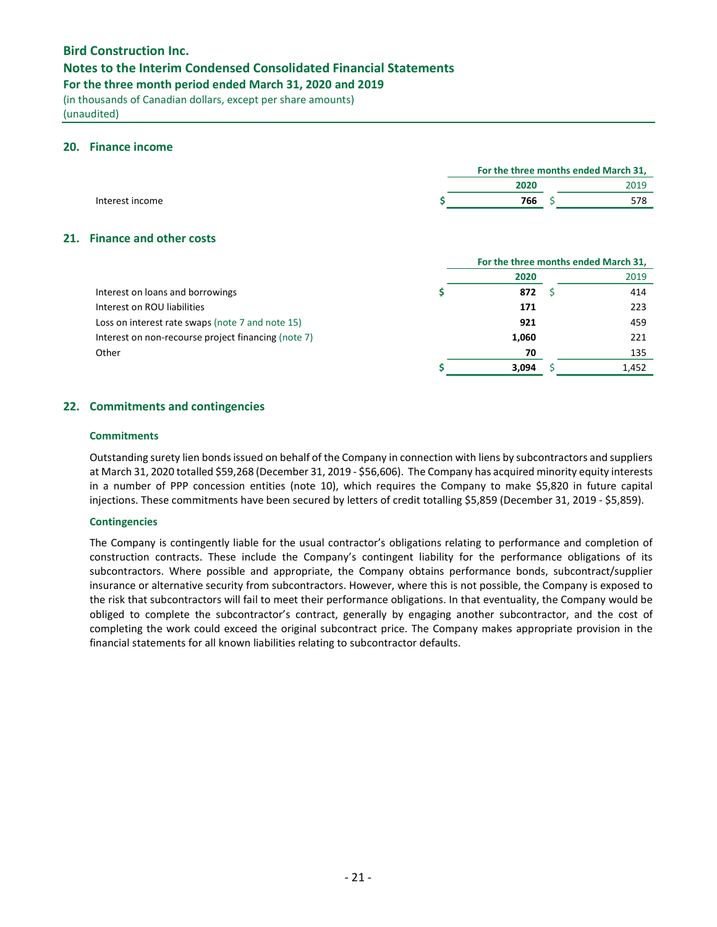## Notes to the Interim Condensed Consolidated Financial Statements

For the three month period ended March 31, 2020 and 2019

(in thousands of Canadian dollars, except per share amounts) (unaudited)

## 20. Finance income

|                 | For the three months ended March 31, |  |      |  |
|-----------------|--------------------------------------|--|------|--|
|                 | 2020                                 |  | 2019 |  |
| Interest income | 766                                  |  | 578  |  |
|                 |                                      |  |      |  |

## 21. Finance and other costs

|                                                     | For the three months ended March 31, |  |       |  |
|-----------------------------------------------------|--------------------------------------|--|-------|--|
|                                                     | 2020                                 |  | 2019  |  |
| Interest on loans and borrowings                    | 872                                  |  | 414   |  |
| Interest on ROU liabilities                         | 171                                  |  | 223   |  |
| Loss on interest rate swaps (note 7 and note 15)    | 921                                  |  | 459   |  |
| Interest on non-recourse project financing (note 7) | 1,060                                |  | 221   |  |
| Other                                               | 70                                   |  | 135   |  |
|                                                     | 3.094                                |  | 1,452 |  |

## 22. Commitments and contingencies

## **Commitments**

Outstanding surety lien bonds issued on behalf of the Company in connection with liens by subcontractors and suppliers at March 31, 2020 totalled \$59,268 (December 31, 2019 - \$56,606). The Company has acquired minority equity interests in a number of PPP concession entities (note 10), which requires the Company to make \$5,820 in future capital injections. These commitments have been secured by letters of credit totalling \$5,859 (December 31, 2019 - \$5,859).

#### **Contingencies**

The Company is contingently liable for the usual contractor's obligations relating to performance and completion of construction contracts. These include the Company's contingent liability for the performance obligations of its subcontractors. Where possible and appropriate, the Company obtains performance bonds, subcontract/supplier insurance or alternative security from subcontractors. However, where this is not possible, the Company is exposed to the risk that subcontractors will fail to meet their performance obligations. In that eventuality, the Company would be obliged to complete the subcontractor's contract, generally by engaging another subcontractor, and the cost of completing the work could exceed the original subcontract price. The Company makes appropriate provision in the financial statements for all known liabilities relating to subcontractor defaults.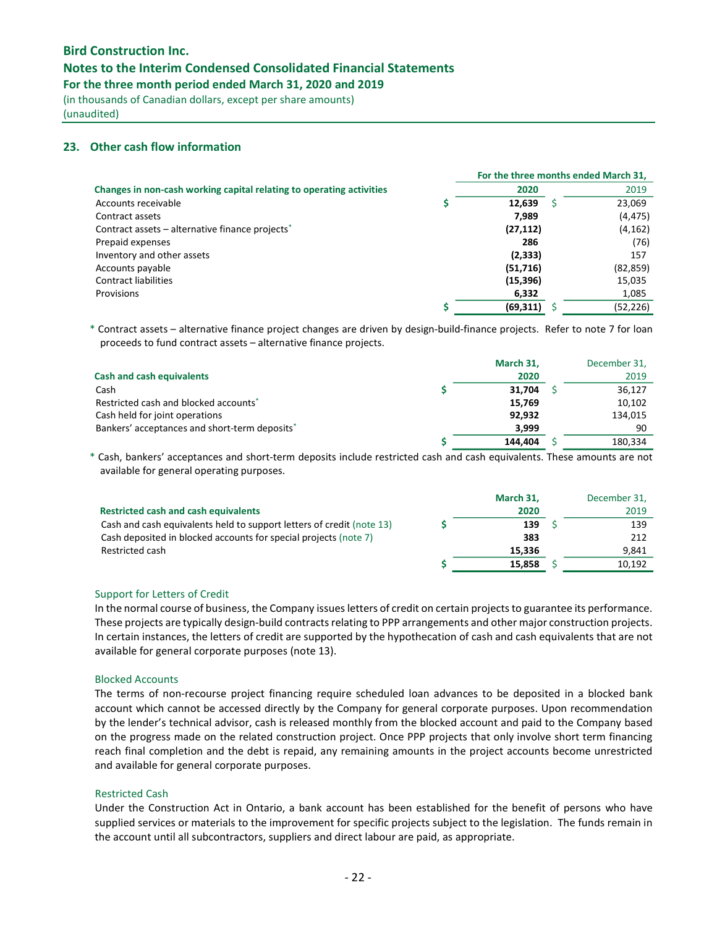## Notes to the Interim Condensed Consolidated Financial Statements

For the three month period ended March 31, 2020 and 2019

(in thousands of Canadian dollars, except per share amounts) (unaudited)

## 23. Other cash flow information

|                                                                      |           |   | For the three months ended March 31, |
|----------------------------------------------------------------------|-----------|---|--------------------------------------|
| Changes in non-cash working capital relating to operating activities | 2020      |   | 2019                                 |
| Accounts receivable                                                  | 12.639    | S | 23,069                               |
| Contract assets                                                      | 7.989     |   | (4, 475)                             |
| Contract assets – alternative finance projects <sup>*</sup>          | (27, 112) |   | (4, 162)                             |
| Prepaid expenses                                                     | 286       |   | (76)                                 |
| Inventory and other assets                                           | (2, 333)  |   | 157                                  |
| Accounts payable                                                     | (51, 716) |   | (82, 859)                            |
| <b>Contract liabilities</b>                                          | (15, 396) |   | 15,035                               |
| Provisions                                                           | 6,332     |   | 1,085                                |
|                                                                      | (69, 311) |   | (52, 226)                            |

\* Contract assets – alternative finance project changes are driven by design-build-finance projects. Refer to note 7 for loan proceeds to fund contract assets – alternative finance projects.

|                                               | March 31, | December 31, |
|-----------------------------------------------|-----------|--------------|
| <b>Cash and cash equivalents</b>              | 2020      | 2019         |
| Cash                                          | 31,704    | 36,127       |
| Restricted cash and blocked accounts*         | 15,769    | 10,102       |
| Cash held for joint operations                | 92,932    | 134,015      |
| Bankers' acceptances and short-term deposits* | 3.999     | 90           |
|                                               | 144.404   | 180,334      |

\* Cash, bankers' acceptances and short-term deposits include restricted cash and cash equivalents. These amounts are not available for general operating purposes.

|                                                                       | March 31, | December 31, |
|-----------------------------------------------------------------------|-----------|--------------|
| <b>Restricted cash and cash equivalents</b>                           | 2020      | 2019         |
| Cash and cash equivalents held to support letters of credit (note 13) | 139       | 139          |
| Cash deposited in blocked accounts for special projects (note 7)      | 383       | 212          |
| Restricted cash                                                       | 15.336    | 9.841        |
|                                                                       | 15.858    | 10.192       |

#### Support for Letters of Credit

In the normal course of business, the Company issues letters of credit on certain projects to guarantee its performance. These projects are typically design-build contracts relating to PPP arrangements and other major construction projects. In certain instances, the letters of credit are supported by the hypothecation of cash and cash equivalents that are not available for general corporate purposes (note 13).

#### Blocked Accounts

The terms of non-recourse project financing require scheduled loan advances to be deposited in a blocked bank account which cannot be accessed directly by the Company for general corporate purposes. Upon recommendation by the lender's technical advisor, cash is released monthly from the blocked account and paid to the Company based on the progress made on the related construction project. Once PPP projects that only involve short term financing reach final completion and the debt is repaid, any remaining amounts in the project accounts become unrestricted and available for general corporate purposes.

#### Restricted Cash

Under the Construction Act in Ontario, a bank account has been established for the benefit of persons who have supplied services or materials to the improvement for specific projects subject to the legislation. The funds remain in the account until all subcontractors, suppliers and direct labour are paid, as appropriate.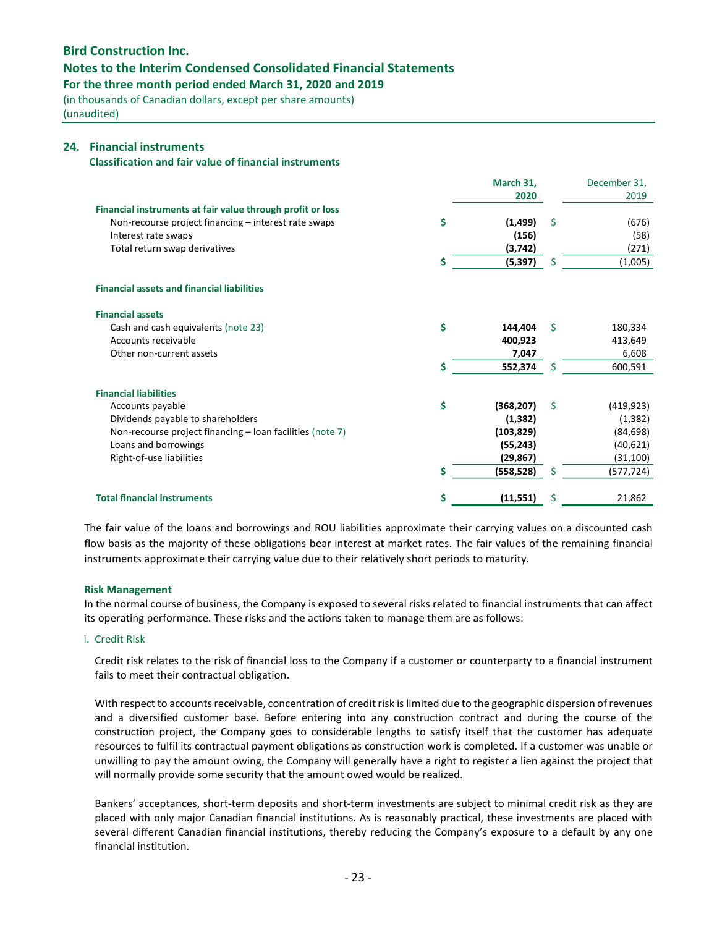## Notes to the Interim Condensed Consolidated Financial Statements

For the three month period ended March 31, 2020 and 2019

(in thousands of Canadian dollars, except per share amounts) (unaudited)

### 24. Financial instruments

Classification and fair value of financial instruments

|                                                            |    | March 31,  |    | December 31, |
|------------------------------------------------------------|----|------------|----|--------------|
|                                                            |    | 2020       |    | 2019         |
| Financial instruments at fair value through profit or loss |    |            |    |              |
| Non-recourse project financing – interest rate swaps       | \$ | (1, 499)   | \$ | (676)        |
| Interest rate swaps                                        |    | (156)      |    | (58)         |
| Total return swap derivatives                              |    | (3, 742)   |    | (271)        |
|                                                            | Ś  | (5, 397)   | \$ | (1,005)      |
| <b>Financial assets and financial liabilities</b>          |    |            |    |              |
| <b>Financial assets</b>                                    |    |            |    |              |
| Cash and cash equivalents (note 23)                        | \$ | 144.404    | Ŝ. | 180,334      |
| Accounts receivable                                        |    | 400,923    |    | 413,649      |
| Other non-current assets                                   |    | 7,047      |    | 6,608        |
|                                                            | Ś  | 552,374    | Ś  | 600,591      |
| <b>Financial liabilities</b>                               |    |            |    |              |
| Accounts payable                                           | \$ | (368, 207) | Ŝ. | (419, 923)   |
| Dividends payable to shareholders                          |    | (1, 382)   |    | (1, 382)     |
| Non-recourse project financing - loan facilities (note 7)  |    | (103, 829) |    | (84, 698)    |
| Loans and borrowings                                       |    | (55, 243)  |    | (40, 621)    |
| Right-of-use liabilities                                   |    | (29, 867)  |    | (31, 100)    |
|                                                            | Ś  | (558, 528) | Ś  | (577, 724)   |
| <b>Total financial instruments</b>                         | \$ | (11, 551)  | Ś  | 21,862       |

The fair value of the loans and borrowings and ROU liabilities approximate their carrying values on a discounted cash flow basis as the majority of these obligations bear interest at market rates. The fair values of the remaining financial instruments approximate their carrying value due to their relatively short periods to maturity.

#### Risk Management

In the normal course of business, the Company is exposed to several risks related to financial instruments that can affect its operating performance. These risks and the actions taken to manage them are as follows:

#### i. Credit Risk

Credit risk relates to the risk of financial loss to the Company if a customer or counterparty to a financial instrument fails to meet their contractual obligation.

With respect to accounts receivable, concentration of credit risk is limited due to the geographic dispersion of revenues and a diversified customer base. Before entering into any construction contract and during the course of the construction project, the Company goes to considerable lengths to satisfy itself that the customer has adequate resources to fulfil its contractual payment obligations as construction work is completed. If a customer was unable or unwilling to pay the amount owing, the Company will generally have a right to register a lien against the project that will normally provide some security that the amount owed would be realized.

Bankers' acceptances, short-term deposits and short-term investments are subject to minimal credit risk as they are placed with only major Canadian financial institutions. As is reasonably practical, these investments are placed with several different Canadian financial institutions, thereby reducing the Company's exposure to a default by any one financial institution.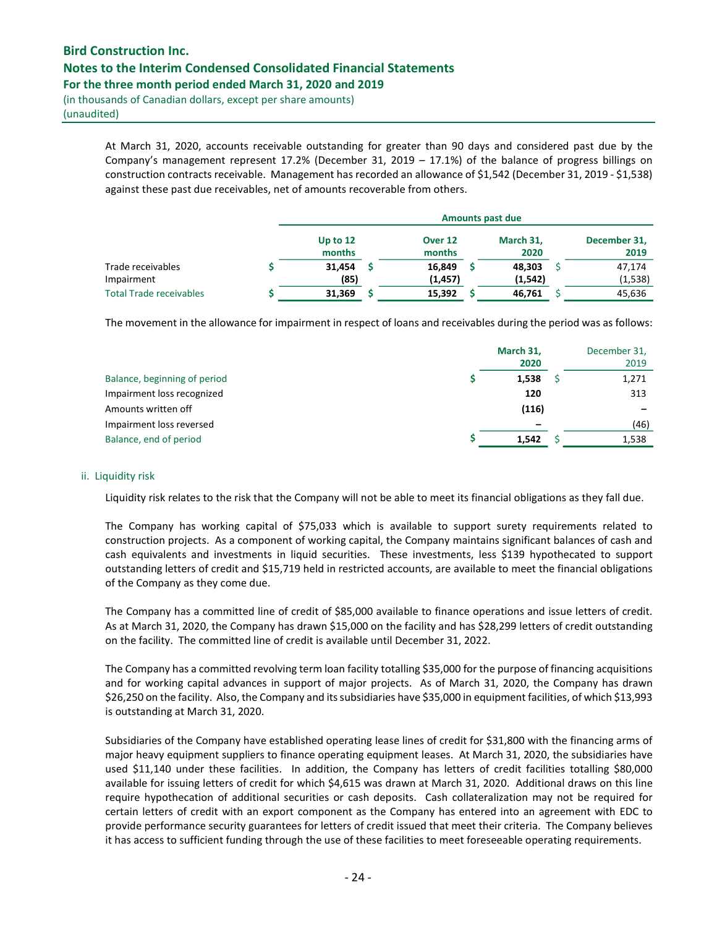# Bird Construction Inc. Notes to the Interim Condensed Consolidated Financial Statements For the three month period ended March 31, 2020 and 2019

(in thousands of Canadian dollars, except per share amounts) (unaudited)

> At March 31, 2020, accounts receivable outstanding for greater than 90 days and considered past due by the Company's management represent 17.2% (December 31, 2019 – 17.1%) of the balance of progress billings on construction contracts receivable. Management has recorded an allowance of \$1,542 (December 31, 2019 - \$1,538) against these past due receivables, net of amounts recoverable from others.

|                                | <b>Amounts past due</b> |  |                              |  |                   |  |                      |
|--------------------------------|-------------------------|--|------------------------------|--|-------------------|--|----------------------|
|                                | Up to 12<br>months      |  | Over <sub>12</sub><br>months |  | March 31,<br>2020 |  | December 31,<br>2019 |
| Trade receivables              | 31.454                  |  | 16,849                       |  | 48,303            |  | 47.174               |
| Impairment                     | (85)                    |  | (1, 457)                     |  | (1, 542)          |  | (1, 538)             |
| <b>Total Trade receivables</b> | 31,369                  |  | 15,392                       |  | 46,761            |  | 45,636               |

The movement in the allowance for impairment in respect of loans and receivables during the period was as follows:

|                              | March 31,<br>2020 | December 31,<br>2019 |
|------------------------------|-------------------|----------------------|
| Balance, beginning of period | 1,538             | 1,271                |
| Impairment loss recognized   | 120               | 313                  |
| Amounts written off          | (116)             |                      |
| Impairment loss reversed     |                   | (46)                 |
| Balance, end of period       | 1,542             | 1,538                |

#### ii. Liquidity risk

Liquidity risk relates to the risk that the Company will not be able to meet its financial obligations as they fall due.

The Company has working capital of \$75,033 which is available to support surety requirements related to construction projects. As a component of working capital, the Company maintains significant balances of cash and cash equivalents and investments in liquid securities. These investments, less \$139 hypothecated to support outstanding letters of credit and \$15,719 held in restricted accounts, are available to meet the financial obligations of the Company as they come due.

The Company has a committed line of credit of \$85,000 available to finance operations and issue letters of credit. As at March 31, 2020, the Company has drawn \$15,000 on the facility and has \$28,299 letters of credit outstanding on the facility. The committed line of credit is available until December 31, 2022.

The Company has a committed revolving term loan facility totalling \$35,000 for the purpose of financing acquisitions and for working capital advances in support of major projects. As of March 31, 2020, the Company has drawn \$26,250 on the facility. Also, the Company and its subsidiaries have \$35,000 in equipment facilities, of which \$13,993 is outstanding at March 31, 2020.

Subsidiaries of the Company have established operating lease lines of credit for \$31,800 with the financing arms of major heavy equipment suppliers to finance operating equipment leases. At March 31, 2020, the subsidiaries have used \$11,140 under these facilities. In addition, the Company has letters of credit facilities totalling \$80,000 available for issuing letters of credit for which \$4,615 was drawn at March 31, 2020. Additional draws on this line require hypothecation of additional securities or cash deposits. Cash collateralization may not be required for certain letters of credit with an export component as the Company has entered into an agreement with EDC to provide performance security guarantees for letters of credit issued that meet their criteria. The Company believes it has access to sufficient funding through the use of these facilities to meet foreseeable operating requirements.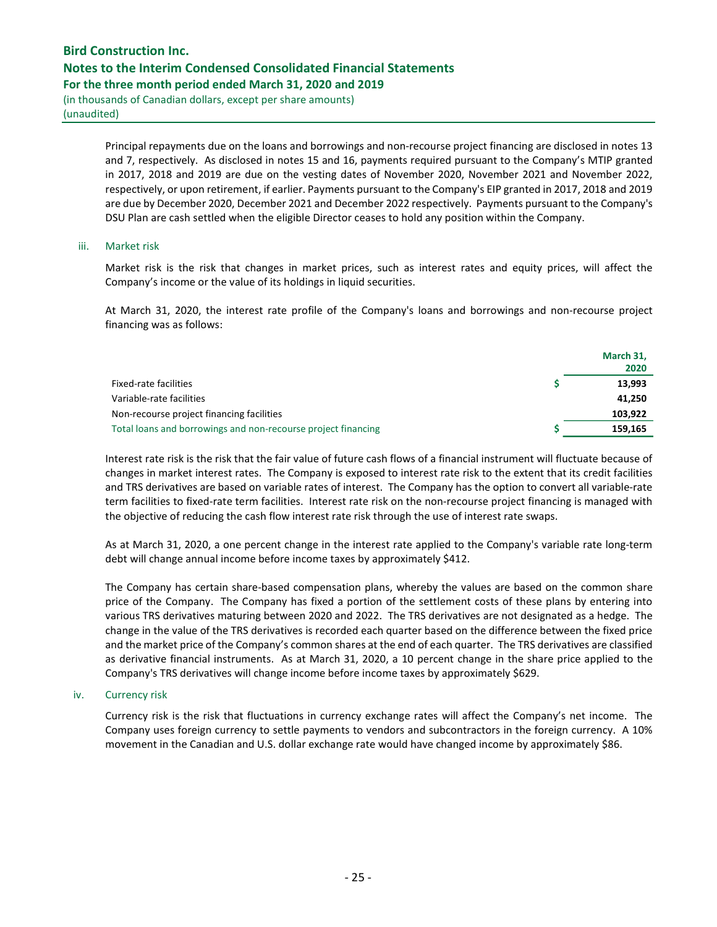# Bird Construction Inc. Notes to the Interim Condensed Consolidated Financial Statements For the three month period ended March 31, 2020 and 2019

(in thousands of Canadian dollars, except per share amounts) (unaudited)

> Principal repayments due on the loans and borrowings and non-recourse project financing are disclosed in notes 13 and 7, respectively. As disclosed in notes 15 and 16, payments required pursuant to the Company's MTIP granted in 2017, 2018 and 2019 are due on the vesting dates of November 2020, November 2021 and November 2022, respectively, or upon retirement, if earlier. Payments pursuant to the Company's EIP granted in 2017, 2018 and 2019 are due by December 2020, December 2021 and December 2022 respectively. Payments pursuant to the Company's DSU Plan are cash settled when the eligible Director ceases to hold any position within the Company.

#### iii. Market risk

Market risk is the risk that changes in market prices, such as interest rates and equity prices, will affect the Company's income or the value of its holdings in liquid securities.

At March 31, 2020, the interest rate profile of the Company's loans and borrowings and non-recourse project financing was as follows:

|                                                               | March 31,<br>2020 |
|---------------------------------------------------------------|-------------------|
| Fixed-rate facilities                                         | 13,993            |
| Variable-rate facilities                                      | 41,250            |
| Non-recourse project financing facilities                     | 103.922           |
| Total loans and borrowings and non-recourse project financing | 159.165           |

Interest rate risk is the risk that the fair value of future cash flows of a financial instrument will fluctuate because of changes in market interest rates. The Company is exposed to interest rate risk to the extent that its credit facilities and TRS derivatives are based on variable rates of interest. The Company has the option to convert all variable-rate term facilities to fixed-rate term facilities. Interest rate risk on the non-recourse project financing is managed with the objective of reducing the cash flow interest rate risk through the use of interest rate swaps.

As at March 31, 2020, a one percent change in the interest rate applied to the Company's variable rate long-term debt will change annual income before income taxes by approximately \$412.

The Company has certain share-based compensation plans, whereby the values are based on the common share price of the Company. The Company has fixed a portion of the settlement costs of these plans by entering into various TRS derivatives maturing between 2020 and 2022. The TRS derivatives are not designated as a hedge. The change in the value of the TRS derivatives is recorded each quarter based on the difference between the fixed price and the market price of the Company's common shares at the end of each quarter. The TRS derivatives are classified as derivative financial instruments. As at March 31, 2020, a 10 percent change in the share price applied to the Company's TRS derivatives will change income before income taxes by approximately \$629.

#### iv. Currency risk

Currency risk is the risk that fluctuations in currency exchange rates will affect the Company's net income. The Company uses foreign currency to settle payments to vendors and subcontractors in the foreign currency. A 10% movement in the Canadian and U.S. dollar exchange rate would have changed income by approximately \$86.